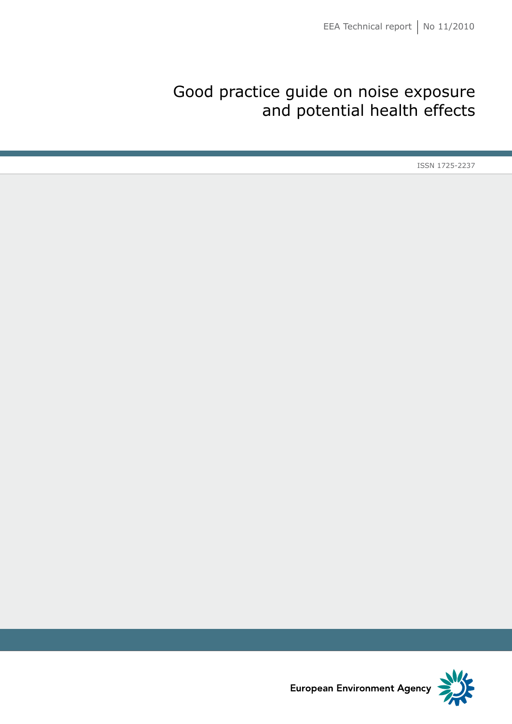## Good practice guide on noise exposure and potential health effects

ISSN 1725-2237

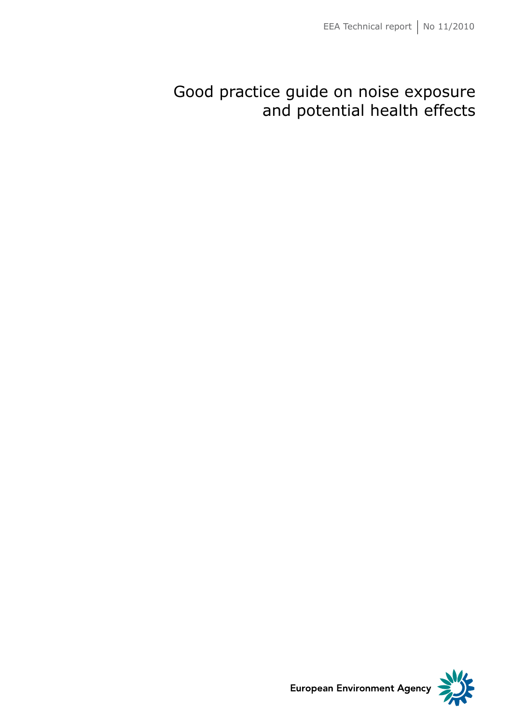## Good practice guide on noise exposure and potential health effects



**European Environment Agency**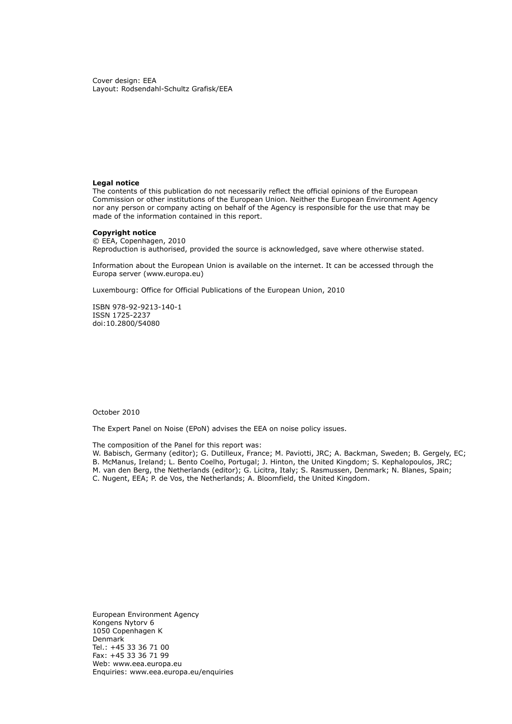Cover design: EEA Layout: Rodsendahl-Schultz Grafisk/EEA

#### **Legal notice**

The contents of this publication do not necessarily reflect the official opinions of the European Commission or other institutions of the European Union. Neither the European Environment Agency nor any person or company acting on behalf of the Agency is responsible for the use that may be made of the information contained in this report.

## **Copyright notice**

© EEA, Copenhagen, 2010 Reproduction is authorised, provided the source is acknowledged, save where otherwise stated.

Information about the European Union is available on the internet. It can be accessed through the Europa server [\(www.europa.eu](http://www.europa.eu))

Luxembourg: Office for Official Publications of the European Union, 2010

ISBN 978-92-9213-140-1 ISSN 1725-2237 doi:10.2800/54080

October 2010

The Expert Panel on Noise (EPoN) advises the EEA on noise policy issues.

The composition of the Panel for this report was:

W. Babisch, Germany (editor); G. Dutilleux, France; M. Paviotti, JRC; A. Backman, Sweden; B. Gergely, EC; B. McManus, Ireland; L. Bento Coelho, Portugal; J. Hinton, the United Kingdom; S. Kephalopoulos, JRC; M. van den Berg, the Netherlands (editor); G. Licitra, Italy; S. Rasmussen, Denmark; N. Blanes, Spain; C. Nugent, EEA; P. de Vos, the Netherlands; A. Bloomfield, the United Kingdom.

European Environment Agency Kongens Nytorv 6 1050 Copenhagen K Denmark Tel.: +45 33 36 71 00 Fax: +45 33 36 71 99 Web: [www.eea.europa.eu](http://www.eea.europa.eu) Enquiries: [www.eea.europa.eu/enquiries](http://www.eea.europa.eu/help/infocentre/enquiries)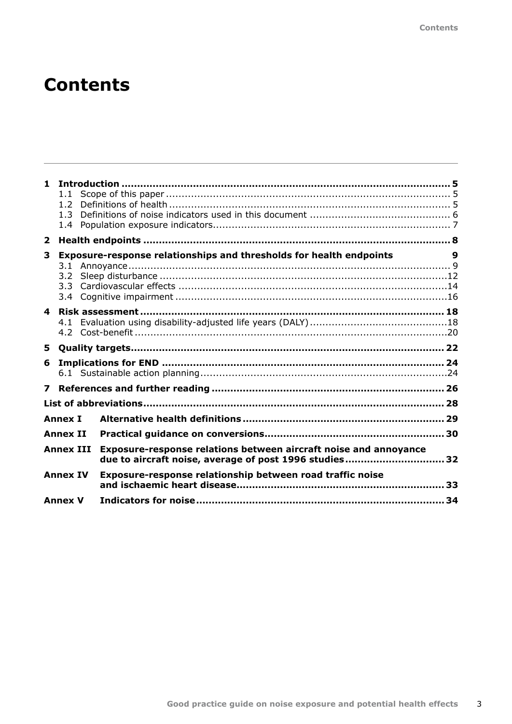# **Contents**

| 1.                      | 1.1<br>1.2 <sub>2</sub><br>1.3<br>$1.4^{\circ}$ |                                                                                                                            |   |
|-------------------------|-------------------------------------------------|----------------------------------------------------------------------------------------------------------------------------|---|
| $\overline{\mathbf{2}}$ |                                                 |                                                                                                                            |   |
| 3                       | 3.2                                             | Exposure-response relationships and thresholds for health endpoints                                                        | 9 |
| $\overline{\mathbf{4}}$ | 4.1                                             |                                                                                                                            |   |
| 5.                      |                                                 |                                                                                                                            |   |
| 6                       |                                                 |                                                                                                                            |   |
| $\overline{\mathbf{z}}$ |                                                 |                                                                                                                            |   |
|                         |                                                 |                                                                                                                            |   |
|                         | <b>Annex I</b>                                  |                                                                                                                            |   |
|                         | <b>Annex II</b>                                 |                                                                                                                            |   |
|                         | <b>Annex III</b>                                | Exposure-response relations between aircraft noise and annoyance<br>due to aircraft noise, average of post 1996 studies 32 |   |
|                         | <b>Annex IV</b>                                 | Exposure-response relationship between road traffic noise                                                                  |   |
|                         | <b>Annex V</b>                                  |                                                                                                                            |   |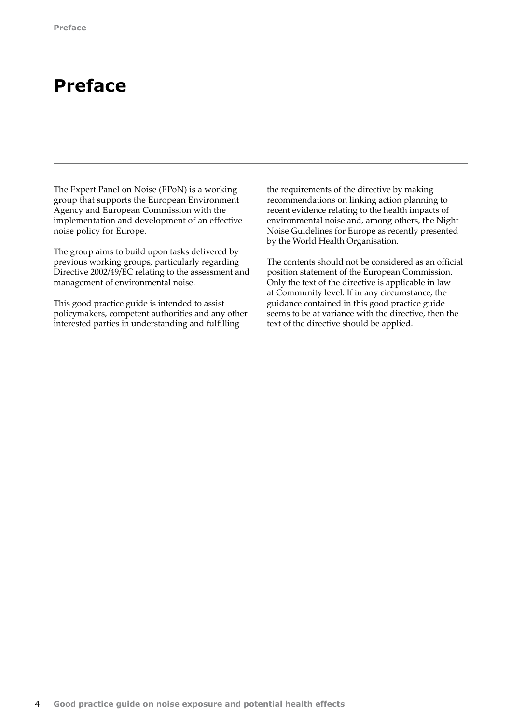## **Preface**

The Expert Panel on Noise (EPoN) is a working group that supports the European Environment Agency and European Commission with the implementation and development of an effective noise policy for Europe.

The group aims to build upon tasks delivered by previous working groups, particularly regarding Directive 2002/49/EC relating to the assessment and management of environmental noise.

This good practice guide is intended to assist policymakers, competent authorities and any other interested parties in understanding and fulfilling

the requirements of the directive by making recommendations on linking action planning to recent evidence relating to the health impacts of environmental noise and, among others, the Night Noise Guidelines for Europe as recently presented by the World Health Organisation.

The contents should not be considered as an official position statement of the European Commission. Only the text of the directive is applicable in law at Community level. If in any circumstance, the guidance contained in this good practice guide seems to be at variance with the directive, then the text of the directive should be applied.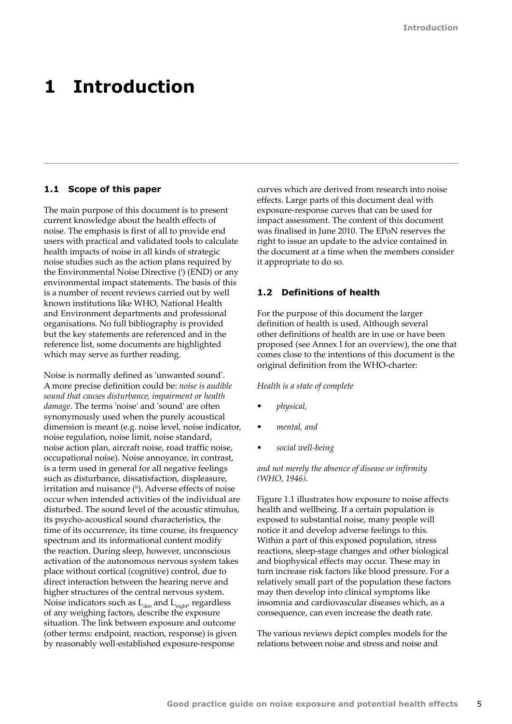## <span id="page-6-0"></span>**1 Introduction**

## **1.1 Scope of this paper**

The main purpose of this document is to present current knowledge about the health effects of noise. The emphasis is first of all to provide end users with practical and validated tools to calculate health impacts of noise in all kinds of strategic noise studies such as the action plans required by the Environmental Noise Directive (i) (END) or any environmental impact statements. The basis of this is a number of recent reviews carried out by well known institutions like WHO, National Health and Environment departments and professional organisations. No full bibliography is provided but the key statements are referenced and in the reference list, some documents are highlighted which may serve as further reading.

Noise is normally defined as 'unwanted sound'. A more precise definition could be: *noise is audible sound that causes disturbance, impairment or health damage*. The terms 'noise' and 'sound' are often synonymously used when the purely acoustical dimension is meant (e.g. noise level, noise indicator, noise regulation, noise limit, noise standard, noise action plan, aircraft noise, road traffic noise, occupational noise). Noise annoyance, in contrast, is a term used in general for all negative feelings such as disturbance, dissatisfaction, displeasure, irritation and nuisance (ii). Adverse effects of noise occur when intended activities of the individual are disturbed. The sound level of the acoustic stimulus, its psycho‑acoustical sound characteristics, the time of its occurrence, its time course, its frequency spectrum and its informational content modify the reaction. During sleep, however, unconscious activation of the autonomous nervous system takes place without cortical (cognitive) control, due to direct interaction between the hearing nerve and higher structures of the central nervous system. Noise indicators such as  $L_{den}$  and  $L_{night}$  regardless of any weighing factors, describe the exposure situation. The link between exposure and outcome (other terms: endpoint, reaction, response) is given by reasonably well-established exposure-response

curves which are derived from research into noise effects. Large parts of this document deal with exposure-response curves that can be used for impact assessment. The content of this document was finalised in June 2010. The EPoN reserves the right to issue an update to the advice contained in the document at a time when the members consider it appropriate to do so.

## **1.2 Definitions of health**

For the purpose of this document the larger definition of health is used. Although several other definitions of health are in use or have been proposed (see Annex I for an overview), the one that comes close to the intentions of this document is the original definition from the WHO-charter:

### *Health is a state of complete*

- *• physical,*
- *• mental, and*
- *• social well-being*

## *and not merely the absence of disease or infirmity (WHO, 1946).*

Figure 1.1 illustrates how exposure to noise affects health and wellbeing. If a certain population is exposed to substantial noise, many people will notice it and develop adverse feelings to this. Within a part of this exposed population, stress reactions, sleep-stage changes and other biological and biophysical effects may occur. These may in turn increase risk factors like blood pressure. For a relatively small part of the population these factors may then develop into clinical symptoms like insomnia and cardiovascular diseases which, as a consequence, can even increase the death rate.

The various reviews depict complex models for the relations between noise and stress and noise and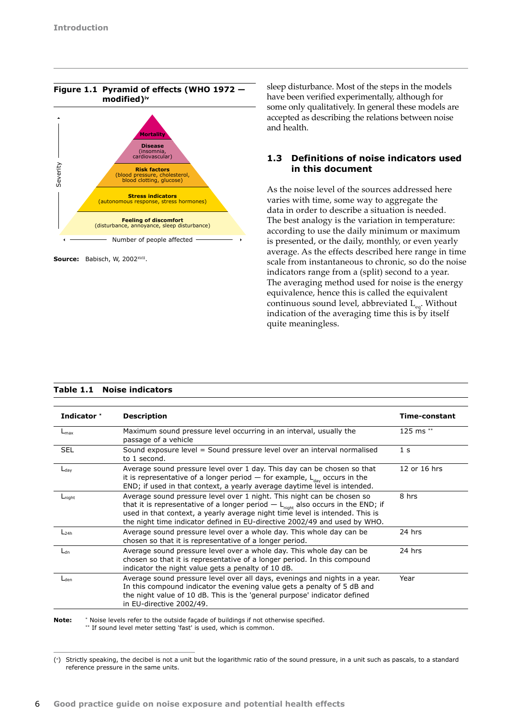<span id="page-7-0"></span>

Source: Babisch, W, 2002<sup>xvII</sup>.

sleep disturbance. Most of the steps in the models have been verified experimentally, although for some only qualitatively. In general these models are accepted as describing the relations between noise and health.

## **1.3 Definitions of noise indicators used in this document**

As the noise level of the sources addressed here varies with time, some way to aggregate the data in order to describe a situation is needed. The best analogy is the variation in temperature: according to use the daily minimum or maximum is presented, or the daily, monthly, or even yearly average. As the effects described here range in time scale from instantaneous to chronic, so do the noise indicators range from a (split) second to a year. The averaging method used for noise is the energy equivalence, hence this is called the equivalent continuous sound level, abbreviated L<sub>eq</sub>. Without indication of the averaging time this is by itself quite meaningless.

| Indicator <sup>*</sup> | <b>Description</b>                                                                                                                                                                                                                                                                                                                  | Time-constant  |
|------------------------|-------------------------------------------------------------------------------------------------------------------------------------------------------------------------------------------------------------------------------------------------------------------------------------------------------------------------------------|----------------|
| $L_{\text{max}}$       | Maximum sound pressure level occurring in an interval, usually the<br>passage of a vehicle                                                                                                                                                                                                                                          | 125 ms **      |
| <b>SEL</b>             | Sound exposure level = Sound pressure level over an interval normalised<br>to 1 second.                                                                                                                                                                                                                                             | 1 <sub>s</sub> |
| $L_{\text{day}}$       | Average sound pressure level over 1 day. This day can be chosen so that<br>it is representative of a longer period $-$ for example, $L_{\text{day}}$ occurs in the<br>END; if used in that context, a yearly average daytime level is intended.                                                                                     | 12 or 16 hrs   |
| $L_{night}$            | Average sound pressure level over 1 night. This night can be chosen so<br>that it is representative of a longer period $- L_{\text{night}}$ also occurs in the END; if<br>used in that context, a yearly average night time level is intended. This is<br>the night time indicator defined in EU-directive 2002/49 and used by WHO. | 8 hrs          |
| $L_{24h}$              | Average sound pressure level over a whole day. This whole day can be<br>chosen so that it is representative of a longer period.                                                                                                                                                                                                     | 24 hrs         |
| $L_{dn}$               | Average sound pressure level over a whole day. This whole day can be<br>chosen so that it is representative of a longer period. In this compound<br>indicator the night value gets a penalty of 10 dB.                                                                                                                              | 24 hrs         |
| $L_{den}$              | Average sound pressure level over all days, evenings and nights in a year.<br>In this compound indicator the evening value gets a penalty of 5 dB and<br>the night value of 10 dB. This is the 'general purpose' indicator defined<br>in EU-directive 2002/49.                                                                      | Year           |

**Note:** \* Noise levels refer to the outside façade of buildings if not otherwise specified. \*\* If sound level meter setting 'fast' is used, which is common.

<sup>(</sup>� ) Strictly speaking, the decibel is not a unit but the logarithmic ratio of the sound pressure, in a unit such as pascals, to a standard reference pressure in the same units.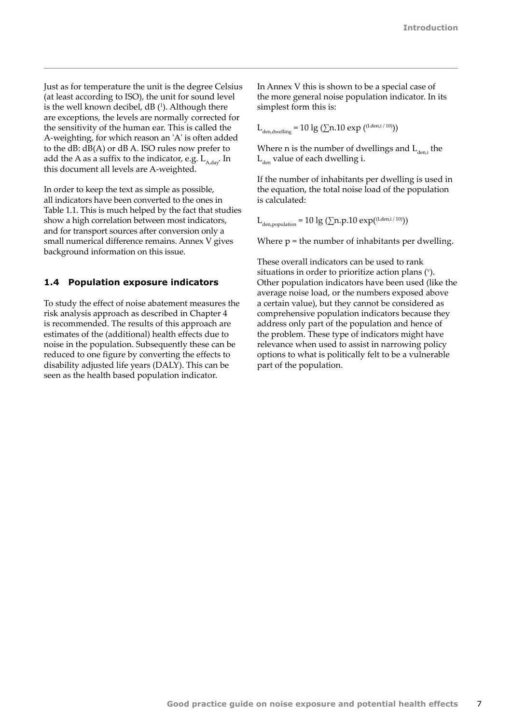<span id="page-8-0"></span>Just as for temperature the unit is the degree Celsius (at least according to ISO), the unit for sound level is the well known decibel,  $dB$   $(1)$ . Although there are exceptions, the levels are normally corrected for the sensitivity of the human ear. This is called the A-weighting, for which reason an 'A' is often added to the dB: dB(A) or dB A. ISO rules now prefer to add the A as a suffix to the indicator, e.g.  $L_{A, dav}$ . In this document all levels are A-weighted.

In order to keep the text as simple as possible, all indicators have been converted to the ones in Table 1.1. This is much helped by the fact that studies show a high correlation between most indicators, and for transport sources after conversion only a small numerical difference remains. Annex V gives background information on this issue.

### **1.4 Population exposure indicators**

To study the effect of noise abatement measures the risk analysis approach as described in Chapter 4 is recommended. The results of this approach are estimates of the (additional) health effects due to noise in the population. Subsequently these can be reduced to one figure by converting the effects to disability adjusted life years (DALY). This can be seen as the health based population indicator.

In Annex V this is shown to be a special case of the more general noise population indicator. In its simplest form this is:

 $L_{den,dwelling} = 10 \lg (\sum n.10 \exp ((Lden,i/10)))$ 

Where n is the number of dwellings and  $L_{den,i}$  the  $L_{den}$  value of each dwelling i.

If the number of inhabitants per dwelling is used in the equation, the total noise load of the population is calculated:

 $L_{den, population} = 10 \lg (\sum n.p.10 \exp(\frac{(Lden, i / 10)}{n}))$ 

Where  $p =$  the number of inhabitants per dwelling.

These overall indicators can be used to rank situations in order to prioritize action plans  $($ <sup>v</sup> $)$ . Other population indicators have been used (like the average noise load, or the numbers exposed above a certain value), but they cannot be considered as comprehensive population indicators because they address only part of the population and hence of the problem. These type of indicators might have relevance when used to assist in narrowing policy options to what is politically felt to be a vulnerable part of the population.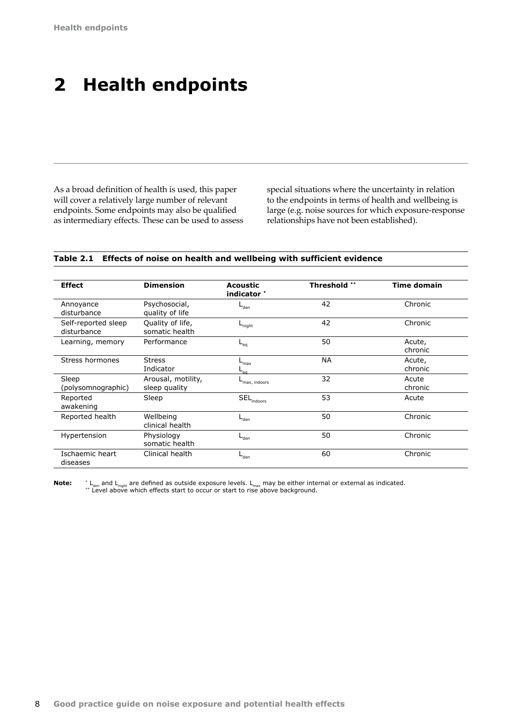# <span id="page-9-0"></span>**2 Health endpoints**

As a broad definition of health is used, this paper will cover a relatively large number of relevant endpoints. Some endpoints may also be qualified as intermediary effects. These can be used to assess special situations where the uncertainty in relation to the endpoints in terms of health and wellbeing is large (e.g. noise sources for which exposure‑response relationships have not been established).

## **Table 2.1 Effects of noise on health and wellbeing with sufficient evidence**

| <b>Effect</b>                      | <b>Dimension</b>                    | <b>Acoustic</b><br>indicator *    | <b>Threshold **</b> | <b>Time domain</b> |
|------------------------------------|-------------------------------------|-----------------------------------|---------------------|--------------------|
| Annoyance<br>disturbance           | Psychosocial,<br>quality of life    | $L_{den}$                         | 42                  | Chronic            |
| Self-reported sleep<br>disturbance | Quality of life,<br>somatic health  | $-$ night                         | 42                  | Chronic            |
| Learning, memory                   | Performance                         | $-$ <sub>eq</sub>                 | 50                  | Acute,<br>chronic  |
| Stress hormones                    | <b>Stress</b><br>Indicator          | $max$<br>Tea                      | <b>NA</b>           | Acute,<br>chronic  |
| Sleep<br>(polysomnographic)        | Arousal, motility,<br>sleep quality | max, indoors                      | 32                  | Acute<br>chronic   |
| Reported<br>awakening              | Sleep                               | $\mathsf{SEL}_{\mathsf{indoors}}$ | 53                  | Acute              |
| Reported health                    | Wellbeing<br>clinical health        | $L_{den}$                         | 50                  | Chronic            |
| Hypertension                       | Physiology<br>somatic health        | ⊢ <sub>den</sub>                  | 50                  | Chronic            |
| Ischaemic heart<br>diseases        | Clinical health                     | $-$ den                           | 60                  | Chronic            |

**Note:** \* L<sub>den</sub> and L<sub>night</sub> are defined as outside exposure levels. L<sub>max</sub> may be either internal or external as indicated. \*\* Level above which effects start to occur or start to rise above background.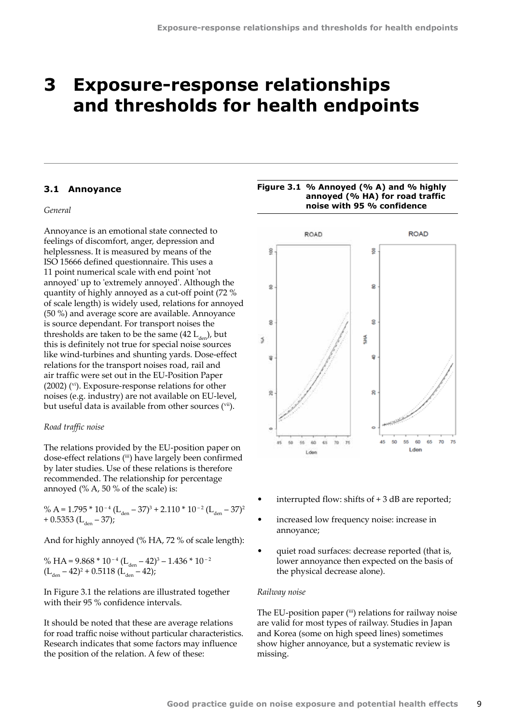## <span id="page-10-0"></span>**3 Exposure-response relationships and thresholds for health endpoints**

### **3.1 Annoyance**

## *General*

Annoyance is an emotional state connected to feelings of discomfort, anger, depression and helplessness. It is measured by means of the ISO 15666 defined questionnaire. This uses a 11 point numerical scale with end point 'not annoyed' up to 'extremely annoyed'. Although the quantity of highly annoyed as a cut-off point (72 % of scale length) is widely used, relations for annoyed (50 %) and average score are available. Annoyance is source dependant. For transport noises the thresholds are taken to be the same  $(42 L_{\text{dm}})$ , but this is definitely not true for special noise sources like wind-turbines and shunting yards. Dose-effect relations for the transport noises road, rail and air traffic were set out in the EU-Position Paper (2002) (vi). Exposure-response relations for other noises (e.g. industry) are not available on EU-level, but useful data is available from other sources (vii).

## *Road traffic noise*

The relations provided by the EU-position paper on dose-effect relations (iii) have largely been confirmed by later studies. Use of these relations is therefore recommended. The relationship for percentage annoyed  $(\% A, 50\% \text{ of the scale})$  is:

% A = 1.795 \*  $10^{-4}$  (L<sub>den</sub> – 37)<sup>3</sup> + 2.110 \*  $10^{-2}$  (L<sub>den</sub> – 37)<sup>2</sup>  $+ 0.5353$  (L<sub>den</sub> – 37);

And for highly annoyed (% HA, 72 % of scale length):

% HA =  $9.868 * 10^{-4}$  (L<sub>den</sub> –  $42)^3$  –  $1.436 * 10^{-2}$  $(L<sub>den</sub> - 42)<sup>2</sup> + 0.5118 (L<sub>den</sub> - 42);$ 

In Figure 3.1 the relations are illustrated together with their 95 % confidence intervals.

It should be noted that these are average relations for road traffic noise without particular characteristics. Research indicates that some factors may influence the position of the relation. A few of these:





- interrupted flow: shifts of  $+3$  dB are reported;
- increased low frequency noise: increase in annoyance;
- quiet road surfaces: decrease reported (that is, lower annoyance then expected on the basis of the physical decrease alone).

#### *Railway noise*

The EU-position paper (iii) relations for railway noise are valid for most types of railway. Studies in Japan and Korea (some on high speed lines) sometimes show higher annoyance, but a systematic review is missing.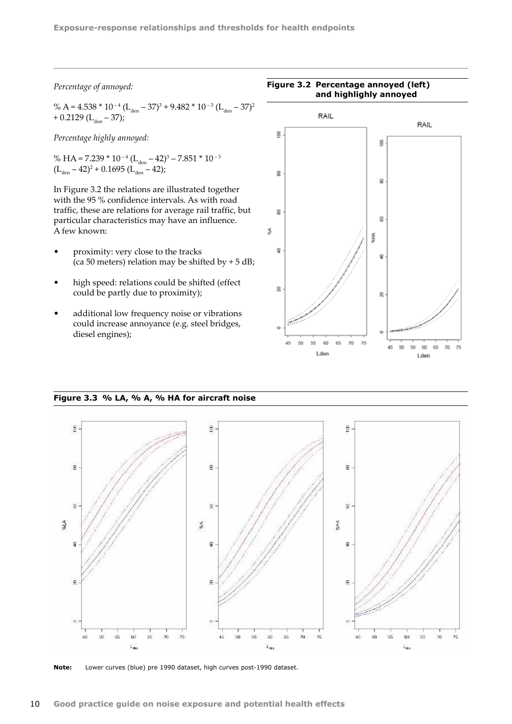## *Percentage of annoyed:*

% A = 4.538 \* 10<sup>-4</sup> (L<sub>den</sub> – 37)<sup>3</sup> + 9.482 \* 10<sup>-3</sup> (L<sub>den</sub> – 37)<sup>2</sup> + 0.2129 (L<sub>den</sub> – 37);

*Percentage highly annoyed:*

% HA = 7.239  $*$  10<sup>-4</sup> (L<sub>den</sub> – 42)<sup>3</sup> – 7.851  $*$  10<sup>-3</sup>  $(L<sub>den</sub> - 42)<sup>2</sup> + 0.1695 (L<sub>den</sub> - 42);$ 

In Figure 3.2 the relations are illustrated together with the 95 % confidence intervals. As with road traffic, these are relations for average rail traffic, but particular characteristics may have an influence. A few known:

- proximity: very close to the tracks (ca 50 meters) relation may be shifted by  $+ 5$  dB;
- high speed: relations could be shifted (effect could be partly due to proximity);
- additional low frequency noise or vibrations could increase annoyance (e.g. steel bridges, diesel engines);



*(right) for railway noise with confidence intervals*

## **Figure 3.3 % LA, % A, % HA for aircraft noise**



**Note:** Lower curves (blue) pre 1990 dataset, high curves post-1990 dataset.

## **Figure 3.2 Percentage annoyed (left) and highlighly annoyed**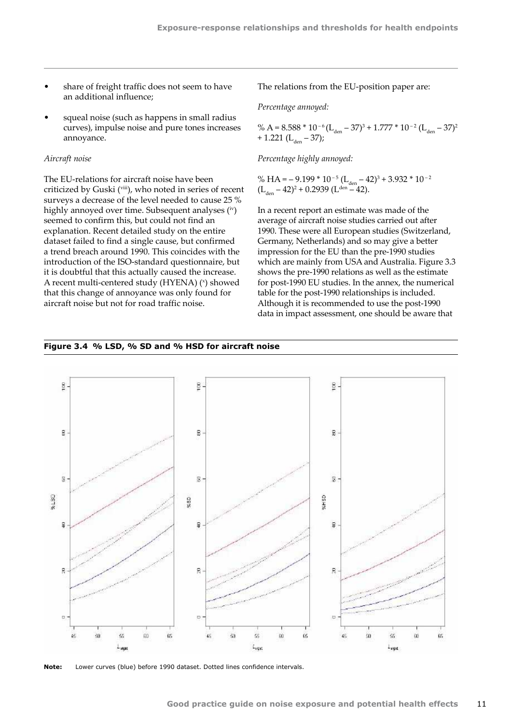- share of freight traffic does not seem to have an additional influence;
- squeal noise (such as happens in small radius curves), impulse noise and pure tones increases annoyance.

#### *Aircraft noise*

The EU-relations for aircraft noise have been criticized by Guski (viii), who noted in series of recent surveys a decrease of the level needed to cause 25 % highly annoyed over time. Subsequent analyses (iv) seemed to confirm this, but could not find an explanation. Recent detailed study on the entire dataset failed to find a single cause, but confirmed a trend breach around 1990. This coincides with the introduction of the ISO-standard questionnaire, but it is doubtful that this actually caused the increase. A recent multi-centered study (HYENA) ( $\textdegree$ ) showed that this change of annoyance was only found for aircraft noise but not for road traffic noise.

The relations from the EU-position paper are:

*Percentage annoyed:*

% A = 8.588 \* 10 – 6 (Lden – 37)3 + 1.777 \* 10 – <sup>2</sup> (Lden – 37)2 + 1.221 (Lden – 37);

*Percentage highly annoyed:*

% HA =  $-$  9.199 \* 10<sup>-5</sup> (L<sub>den</sub>  $-$  42)<sup>3</sup> + 3.932 \* 10<sup>-2</sup>  $(L<sub>den</sub> - 42)^2 + 0.2939 (L<sup>den</sup> - 42).$ 

In a recent report an estimate was made of the average of aircraft noise studies carried out after 1990. These were all European studies (Switzerland, Germany, Netherlands) and so may give a better impression for the EU than the pre-1990 studies which are mainly from USA and Australia. Figure 3.3 shows the pre-1990 relations as well as the estimate for post-1990 EU studies. In the annex, the numerical table for the post-1990 relationships is included. Although it is recommended to use the post-1990 data in impact assessment, one should be aware that

#### **Figure 3.4 % LSD, % SD and % HSD for aircraft noise**



**Note:** Lower curves (blue) before 1990 dataset. Dotted lines confidence intervals.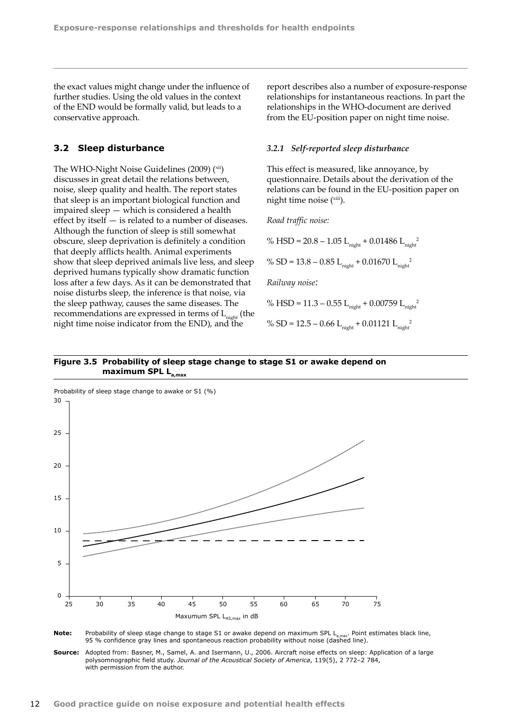<span id="page-13-0"></span>the exact values might change under the influence of further studies. Using the old values in the context of the END would be formally valid, but leads to a conservative approach.

### **3.2 Sleep disturbance**

The WHO-Night Noise Guidelines (2009) (xii) discusses in great detail the relations between, noise, sleep quality and health. The report states that sleep is an important biological function and impaired sleep — which is considered a health effect by itself — is related to a number of diseases. Although the function of sleep is still somewhat obscure, sleep deprivation is definitely a condition that deeply afflicts health. Animal experiments show that sleep deprived animals live less, and sleep deprived humans typically show dramatic function loss after a few days. As it can be demonstrated that noise disturbs sleep, the inference is that noise, via the sleep pathway, causes the same diseases. The recommendations are expressed in terms of  $L_{\text{night}}$  (the night time noise indicator from the END), and the

report describes also a number of exposure-response relationships for instantaneous reactions. In part the relationships in the WHO‑document are derived from the EU-position paper on night time noise.

#### *3.2.1 Self-reported sleep disturbance*

This effect is measured, like annoyance, by questionnaire. Details about the derivation of the relations can be found in the EU-position paper on night time noise (xiii).

*Road traffic noise:*

% HSD = 20.8 – 1.05 L<sub>night</sub> + 0.01486 L<sub>night</sub><sup>2</sup>

% SD = 13.8 – 0.85 L<sub>night</sub> + 0.01670 L<sub>night</sub><sup>2</sup>

*Railway noise:*

% HSD = 11.3 – 0.55 Lnight + 0.00759 Lnight 2

% SD = 12.5 – 0.66 L<sub>night</sub> + 0.01121 L<sub>night</sub><sup>2</sup>

### **Figure 3.5 Probability of sleep stage change to stage S1 or awake depend on**  maximum SPL L





**Source:** Adopted from: Basner, M., Samel, A. and Isermann, U., 2006. Aircraft noise effects on sleep: Application of a large polysomnographic field study. *Journal of the Acoustical Society of America*, 119(5), 2 772–2 784, with permission from the author.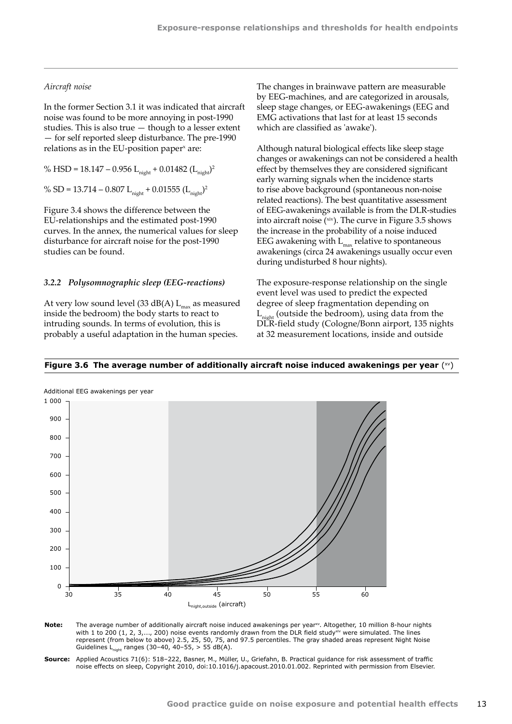### *Aircraft noise*

In the former Section 3.1 it was indicated that aircraft noise was found to be more annoying in post‑1990 studies. This is also true — though to a lesser extent — for self reported sleep disturbance. The pre-1990 relations as in the EU-position paper<sup>x</sup> are:

% HSD = 18.147 – 0.956 Lnight + 0.01482 (Lnight)2

% SD = 13.714 – 0.807 L<sub>night</sub> + 0.01555 (L<sub>night</sub>)<sup>2</sup>

Figure 3.4 shows the difference between the EU‑relationships and the estimated post-1990 curves. In the annex, the numerical values for sleep disturbance for aircraft noise for the post-1990 studies can be found.

#### *3.2.2 Polysomnographic sleep (EEG-reactions)*

At very low sound level (33 dB(A)  $L_{max}$  as measured inside the bedroom) the body starts to react to intruding sounds. In terms of evolution, this is probably a useful adaptation in the human species.

The changes in brainwave pattern are measurable by EEG-machines, and are categorized in arousals, sleep stage changes, or EEG-awakenings (EEG and EMG activations that last for at least 15 seconds which are classified as 'awake').

Although natural biological effects like sleep stage changes or awakenings can not be considered a health effect by themselves they are considered significant early warning signals when the incidence starts to rise above background (spontaneous non-noise related reactions). The best quantitative assessment of EEG-awakenings available is from the DLR-studies into aircraft noise  $(x^iv)$ . The curve in Figure 3.5 shows the increase in the probability of a noise induced EEG awakening with  $L_{max}$  relative to spontaneous awakenings (circa 24 awakenings usually occur even during undisturbed 8 hour nights).

The exposure-response relationship on the single event level was used to predict the expected degree of sleep fragmentation depending on  $L_{night}$  (outside the bedroom), using data from the DLR‑field study (Cologne/Bonn airport, 135 nights at 32 measurement locations, inside and outside

#### Figure 3.6 The average number of additionally aircraft noise induced awakenings per year (xv)



- Note: The average number of additionally aircraft noise induced awakenings per year<sup>xv</sup>. Altogether, 10 million 8-hour nights with 1 to 200 (1, 2, 3,..., 200) noise events randomly drawn from the DLR field studyxiv were simulated. The lines represent (from below to above) 2.5, 25, 50, 75, and 97.5 percentiles. The gray shaded areas represent Night Noise Guidelines L<sub>picht</sub> ranges (30–40, 40–55, > 55 dB(A).
- **Source:** Applied Acoustics 71(6): 518–222, Basner, M., Müller, U., Griefahn, B. Practical guidance for risk assessment of traffic noise effects on sleep, Copyright 2010, doi:10.1016/j.apacoust.2010.01.002. Reprinted with permission from Elsevier.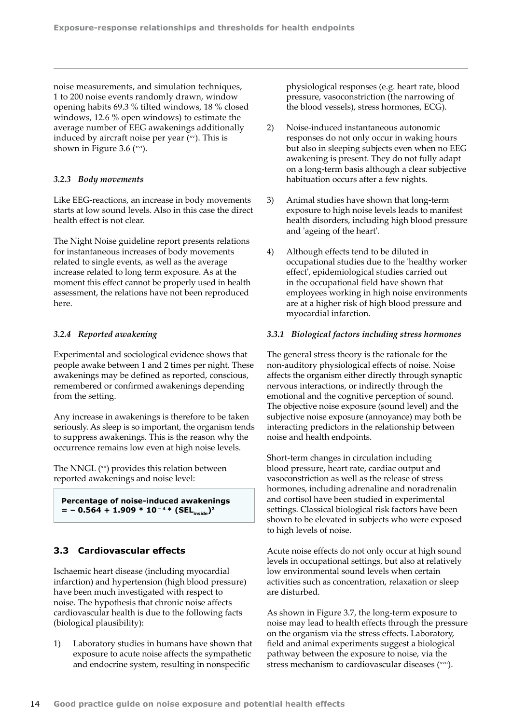<span id="page-15-0"></span>noise measurements, and simulation techniques, 1 to 200 noise events randomly drawn, window opening habits 69.3 % tilted windows, 18 % closed windows, 12.6 % open windows) to estimate the average number of EEG awakenings additionally induced by aircraft noise per year  $(xv)$ . This is shown in Figure 3.6  $(xvi)$ .

## *3.2.3 Body movements*

Like EEG-reactions, an increase in body movements starts at low sound levels. Also in this case the direct health effect is not clear.

The Night Noise guideline report presents relations for instantaneous increases of body movements related to single events, as well as the average increase related to long term exposure. As at the moment this effect cannot be properly used in health assessment, the relations have not been reproduced here.

## *3.2.4 Reported awakening*

Experimental and sociological evidence shows that people awake between 1 and 2 times per night. These awakenings may be defined as reported, conscious, remembered or confirmed awakenings depending from the setting.

Any increase in awakenings is therefore to be taken seriously. As sleep is so important, the organism tends to suppress awakenings. This is the reason why the occurrence remains low even at high noise levels.

The NNGL (<sup>xii</sup>) provides this relation between reported awakenings and noise level:

**Percentage of noise-induced awakenings**   $=$  **–** 0.564 + 1.909 \* 10<sup>-4</sup> \* (SEL<sub>inside</sub>)<sup>2</sup>

## **3.3 Cardiovascular effects**

Ischaemic heart disease (including myocardial infarction) and hypertension (high blood pressure) have been much investigated with respect to noise. The hypothesis that chronic noise affects cardiovascular health is due to the following facts (biological plausibility):

1) Laboratory studies in humans have shown that exposure to acute noise affects the sympathetic and endocrine system, resulting in nonspecific

physiological responses (e.g. heart rate, blood pressure, vasoconstriction (the narrowing of the blood vessels), stress hormones, ECG).

- 2) Noise-induced instantaneous autonomic responses do not only occur in waking hours but also in sleeping subjects even when no EEG awakening is present. They do not fully adapt on a long-term basis although a clear subjective habituation occurs after a few nights.
- 3) Animal studies have shown that long-term exposure to high noise levels leads to manifest health disorders, including high blood pressure and 'ageing of the heart'.
- 4) Although effects tend to be diluted in occupational studies due to the 'healthy worker effect', epidemiological studies carried out in the occupational field have shown that employees working in high noise environments are at a higher risk of high blood pressure and myocardial infarction.

## *3.3.1 Biological factors including stress hormones*

The general stress theory is the rationale for the non-auditory physiological effects of noise. Noise affects the organism either directly through synaptic nervous interactions, or indirectly through the emotional and the cognitive perception of sound. The objective noise exposure (sound level) and the subjective noise exposure (annoyance) may both be interacting predictors in the relationship between noise and health endpoints.

Short-term changes in circulation including blood pressure, heart rate, cardiac output and vasoconstriction as well as the release of stress hormones, including adrenaline and noradrenalin and cortisol have been studied in experimental settings. Classical biological risk factors have been shown to be elevated in subjects who were exposed to high levels of noise.

Acute noise effects do not only occur at high sound levels in occupational settings, but also at relatively low environmental sound levels when certain activities such as concentration, relaxation or sleep are disturbed.

As shown in Figure 3.7, the long-term exposure to noise may lead to health effects through the pressure on the organism via the stress effects. Laboratory, field and animal experiments suggest a biological pathway between the exposure to noise, via the stress mechanism to cardiovascular diseases (<sup>xvii</sup>).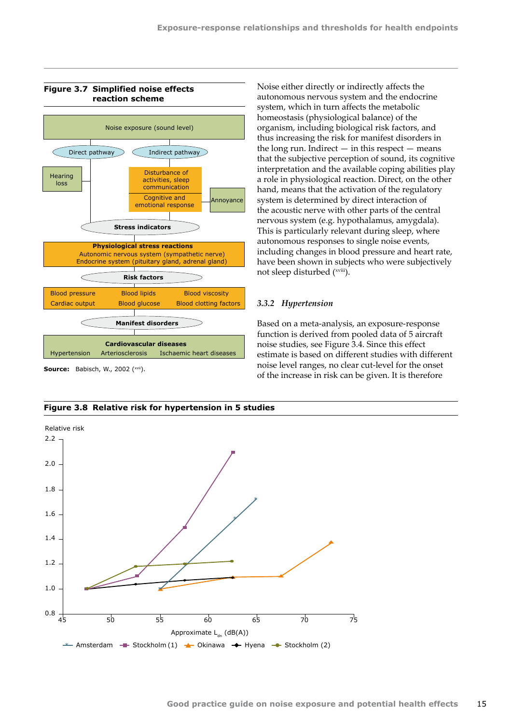Noise either directly or indirectly affects the autonomous nervous system and the endocrine system, which in turn affects the metabolic homeostasis (physiological balance) of the organism, including biological risk factors, and thus increasing the risk for manifest disorders in the long run. Indirect  $-$  in this respect  $-$  means that the subjective perception of sound, its cognitive interpretation and the available coping abilities play a role in physiological reaction. Direct, on the other hand, means that the activation of the regulatory system is determined by direct interaction of the acoustic nerve with other parts of the central nervous system (e.g. hypothalamus, amygdala). This is particularly relevant during sleep, where autonomous responses to single noise events, including changes in blood pressure and heart rate, have been shown in subjects who were subjectively



#### **Figure 3.7 Simplified noise effects reaction scheme**

*3.3.2 Hypertension* Based on a meta-analysis, an exposure-response

not sleep disturbed (<sup>xviii</sup>).

function is derived from pooled data of 5 aircraft noise studies, see Figure 3.4. Since this effect estimate is based on different studies with different noise level ranges, no clear cut-level for the onset of the increase in risk can be given. It is therefore



**Figure 3.8 Relative risk for hypertension in 5 studies**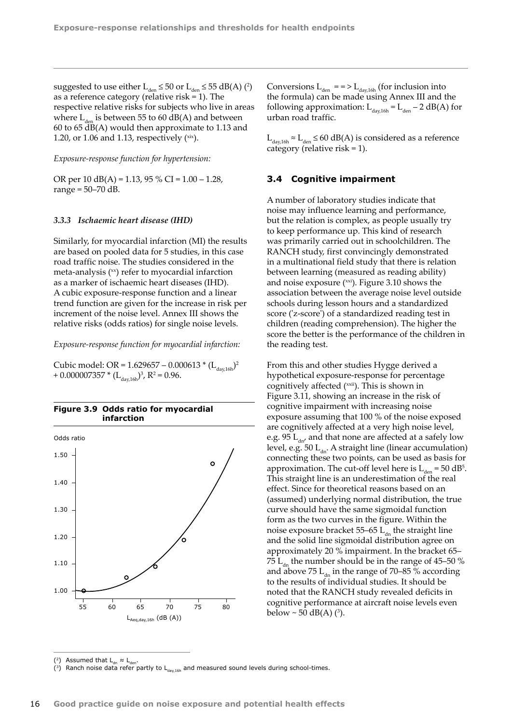<span id="page-17-0"></span>suggested to use either  $L_{den} \leq 50$  or  $L_{den} \leq 55$  dB(A) (<sup>2</sup>) as a reference category (relative risk = 1). The respective relative risks for subjects who live in areas where  $L_{\text{den}}$  is between 55 to 60 dB(A) and between 60 to 65 dB(A) would then approximate to 1.13 and 1.20, or 1.06 and 1.13, respectively  $(xix)$ .

#### *Exposure-response function for hypertension:*

OR per 10 dB(A) = 1.13, 95 % CI =  $1.00 - 1.28$ , range = 50–70 dB.

#### *3.3.3 Ischaemic heart disease (IHD)*

Similarly, for myocardial infarction (MI) the results are based on pooled data for 5 studies, in this case road traffic noise. The studies considered in the meta-analysis  $(x)$  refer to myocardial infarction as a marker of ischaemic heart diseases (IHD). A cubic exposure-response function and a linear trend function are given for the increase in risk per increment of the noise level. Annex III shows the relative risks (odds ratios) for single noise levels.

*Exposure-response function for myocardial infarction:*

Cubic model: OR =  $1.629657 - 0.000613 * (L_{dav,16h})^2$ + 0.000007357  $*(L_{day,16h})^3$ , R<sup>2</sup> = 0.96.



Conversions  $L_{den}$  = = >  $L_{day,16h}$  (for inclusion into the formula) can be made using Annex III and the following approximation:  $L_{\text{dav,16h}} = L_{\text{den}} - 2 \text{ dB(A)}$  for urban road traffic.

 $L_{\text{day,16h}}$  ≈  $L_{\text{den}}$  ≤ 60 dB(A) is considered as a reference category (relative risk = 1).

### **3.4 Cognitive impairment**

A number of laboratory studies indicate that noise may influence learning and performance, but the relation is complex, as people usually try to keep performance up. This kind of research was primarily carried out in schoolchildren. The RANCH study, first convincingly demonstrated in a multinational field study that there is relation between learning (measured as reading ability) and noise exposure (xxi). Figure 3.10 shows the association between the average noise level outside schools during lesson hours and a standardized score ('z-score') of a standardized reading test in children (reading comprehension). The higher the score the better is the performance of the children in the reading test.

From this and other studies Hygge derived a hypothetical exposure-response for percentage cognitively affected (xxii). This is shown in Figure 3.11, showing an increase in the risk of cognitive impairment with increasing noise exposure assuming that 100 % of the noise exposed are cognitively affected at a very high noise level, e.g. 95  $L_{\text{div}}$  and that none are affected at a safely low level, e.g. 50  $L_{dn}$ . A straight line (linear accumulation) connecting these two points, can be used as basis for approximation. The cut-off level here is  $L_{den} = 50$  dB<sup>5</sup>. This straight line is an underestimation of the real effect. Since for theoretical reasons based on an (assumed) underlying normal distribution, the true curve should have the same sigmoidal function form as the two curves in the figure. Within the noise exposure bracket 55–65  $L_{dn}$  the straight line and the solid line sigmoidal distribution agree on approximately 20 % impairment. In the bracket 65– 75  $L_{4}$ , the number should be in the range of 45–50 % and above 75  $L_{dn}$  in the range of 70–85 % according to the results of individual studies. It should be noted that the RANCH study revealed deficits in cognitive performance at aircraft noise levels even

<sup>(&</sup>lt;sup>2</sup>) Assumed that  $L_{dn} \approx L_d$ 

<sup>(3)</sup> Ranch noise data refer partly to  $L_{day,16h}$  and measured sound levels during school-times.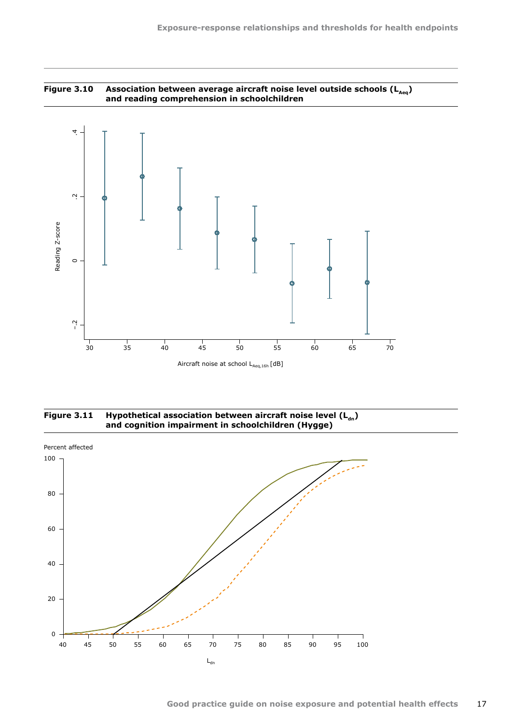





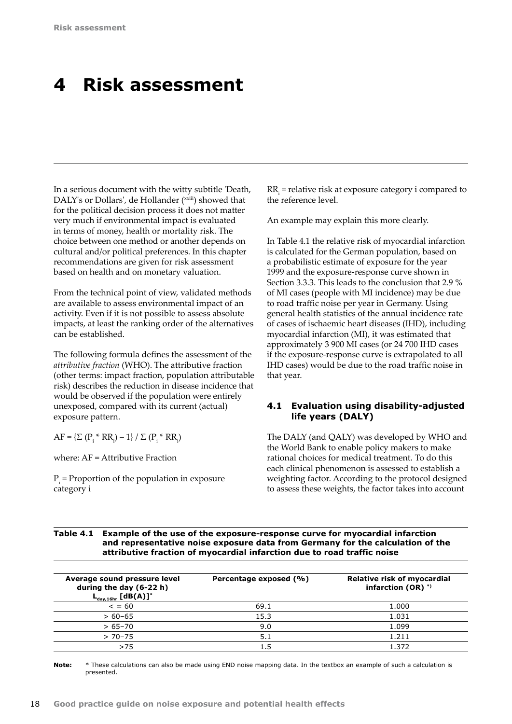## <span id="page-19-0"></span>**4 Risk assessment**

In a serious document with the witty subtitle 'Death, DALY's or Dollars', de Hollander (xxiii) showed that for the political decision process it does not matter very much if environmental impact is evaluated in terms of money, health or mortality risk. The choice between one method or another depends on cultural and/or political preferences. In this chapter recommendations are given for risk assessment based on health and on monetary valuation.

From the technical point of view, validated methods are available to assess environmental impact of an activity. Even if it is not possible to assess absolute impacts, at least the ranking order of the alternatives can be established.

The following formula defines the assessment of the *attributive fraction* (WHO). The attributive fraction (other terms: impact fraction, population attributable risk) describes the reduction in disease incidence that would be observed if the population were entirely unexposed, compared with its current (actual) exposure pattern.

 $AF = \{ \Sigma (P_i * RR_i) - 1 \} / \Sigma (P_i * RR_i)$ 

where: AF = Attributive Fraction

 $P_i$  = Proportion of the population in exposure category i

 $RR<sub>i</sub>$  = relative risk at exposure category i compared to the reference level.

An example may explain this more clearly.

In Table 4.1 the relative risk of myocardial infarction is calculated for the German population, based on a probabilistic estimate of exposure for the year 1999 and the exposure-response curve shown in Section 3.3.3. This leads to the conclusion that 2.9 % of MI cases (people with MI incidence) may be due to road traffic noise per year in Germany. Using general health statistics of the annual incidence rate of cases of ischaemic heart diseases (IHD), including myocardial infarction (MI), it was estimated that approximately 3 900 MI cases (or 24 700 IHD cases if the exposure-response curve is extrapolated to all IHD cases) would be due to the road traffic noise in that year.

## **4.1 Evaluation using disability-adjusted life years (DALY)**

The DALY (and QALY) was developed by WHO and the World Bank to enable policy makers to make rational choices for medical treatment. To do this each clinical phenomenon is assessed to establish a weighting factor. According to the protocol designed to assess these weights, the factor takes into account

## **Table 4.1 Example of the use of the exposure-response curve for myocardial infarction and representative noise exposure data from Germany for the calculation of the attributive fraction of myocardial infarction due to road traffic noise**

| Average sound pressure level<br>during the day (6-22 h)<br>$\mathsf{L}_{_{\mathsf{day},\mathsf{16hr}}}$ [dB(A)]* | Percentage exposed (%) | Relative risk of myocardial<br>infarction $(OR)$ <sup>*)</sup> |
|------------------------------------------------------------------------------------------------------------------|------------------------|----------------------------------------------------------------|
| $\leq$ = 60                                                                                                      | 69.1                   | 1.000                                                          |
| $> 60 - 65$                                                                                                      | 15.3                   | 1.031                                                          |
| $>65-70$                                                                                                         | 9.0                    | 1.099                                                          |
| $> 70-75$                                                                                                        | 5.1                    | 1.211                                                          |
| >75                                                                                                              |                        | 1.372                                                          |

**Note:** \* These calculations can also be made using END noise mapping data. In the textbox an example of such a calculation is presented.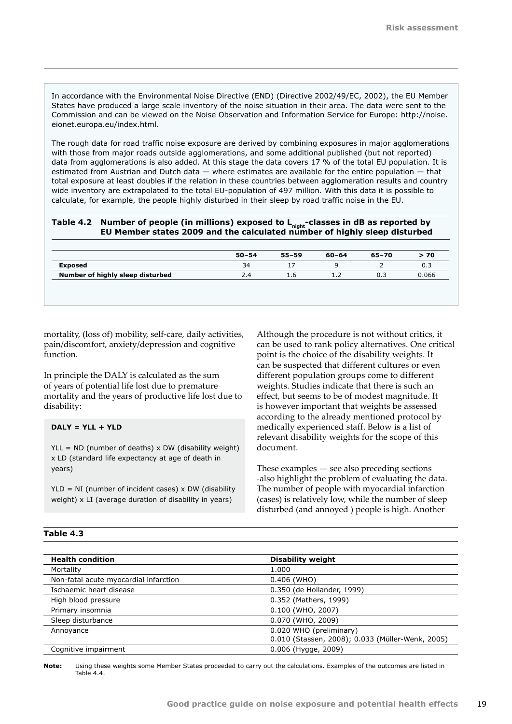In accordance with the Environmental Noise Directive (END) (Directive 2002/49/EC, 2002), the EU Member States have produced a large scale inventory of the noise situation in their area. The data were sent to the Commission and can be viewed on the Noise Observation and Information Service for Europe: [http://noise.](http://noise.eionet.europa.eu/index.html) [eionet.europa.eu/index.html](http://noise.eionet.europa.eu/index.html).

The rough data for road traffic noise exposure are derived by combining exposures in major agglomerations with those from major roads outside agglomerations, and some additional published (but not reported) data from agglomerations is also added. At this stage the data covers 17 % of the total EU population. It is estimated from Austrian and Dutch data — where estimates are available for the entire population — that total exposure at least doubles if the relation in these countries between agglomeration results and country wide inventory are extrapolated to the total EU-population of 497 million. With this data it is possible to calculate, for example, the people highly disturbed in their sleep by road traffic noise in the EU.

| Table 4.2 Number of people (in millions) exposed to L <sub>night</sub> -classes in dB as reported by |
|------------------------------------------------------------------------------------------------------|
| EU Member states 2009 and the calculated number of highly sleep disturbed                            |

|     | 0.3   |
|-----|-------|
| 0.3 | 0.066 |
|     |       |

mortality, (loss of) mobility, self-care, daily activities, pain/discomfort, anxiety/depression and cognitive function.

In principle the DALY is calculated as the sum of years of potential life lost due to premature mortality and the years of productive life lost due to disability:

## **DALY = YLL + YLD**

 $YLL = ND$  (number of deaths) x DW (disability weight) x LD (standard life expectancy at age of death in years)

 $YLD = NI$  (number of incident cases) x DW (disability weight) x LI (average duration of disability in years)

Although the procedure is not without critics, it can be used to rank policy alternatives. One critical point is the choice of the disability weights. It can be suspected that different cultures or even different population groups come to different weights. Studies indicate that there is such an effect, but seems to be of modest magnitude. It is however important that weights be assessed according to the already mentioned protocol by medically experienced staff. Below is a list of relevant disability weights for the scope of this document.

These examples — see also preceding sections -also highlight the problem of evaluating the data. The number of people with myocardial infarction (cases) is relatively low, while the number of sleep disturbed (and annoyed ) people is high. Another

| able<br>. |
|-----------|
|-----------|

| <b>Health condition</b>               | <b>Disability weight</b>                         |
|---------------------------------------|--------------------------------------------------|
| Mortality                             | 1.000                                            |
| Non-fatal acute myocardial infarction | 0.406 (WHO)                                      |
| Ischaemic heart disease               | 0.350 (de Hollander, 1999)                       |
| High blood pressure                   | 0.352 (Mathers, 1999)                            |
| Primary insomnia                      | 0.100 (WHO, 2007)                                |
| Sleep disturbance                     | 0.070 (WHO, 2009)                                |
| Annoyance                             | 0.020 WHO (preliminary)                          |
|                                       | 0.010 (Stassen, 2008); 0.033 (Müller-Wenk, 2005) |
| Cognitive impairment                  | 0.006 (Hygge, 2009)                              |

**Note:** Using these weights some Member States proceeded to carry out the calculations. Examples of the outcomes are listed in Table 4.4.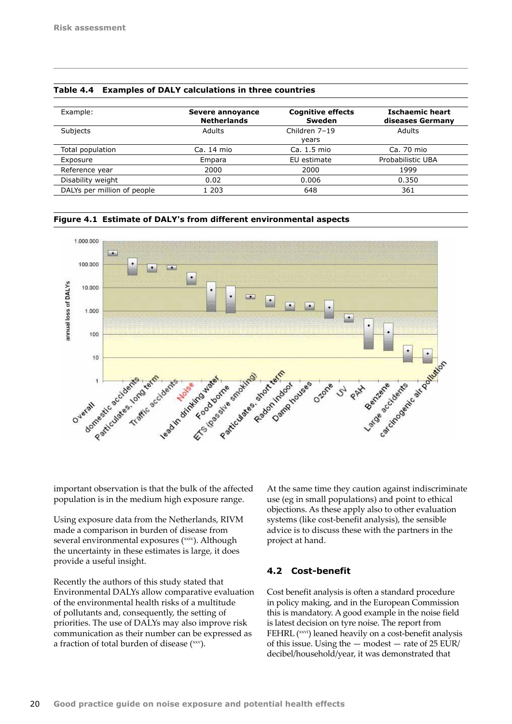| Example:                    | Severe annoyance   | <b>Cognitive effects</b> | <b>Ischaemic heart</b> |  |
|-----------------------------|--------------------|--------------------------|------------------------|--|
|                             | <b>Netherlands</b> | Sweden                   | diseases Germany       |  |
| Subjects                    | Adults             | Children 7-19            | Adults                 |  |
|                             |                    | vears                    |                        |  |
| Total population            | Ca. 14 mio         | Ca. 1.5 mio              | Ca. 70 mio             |  |
| Exposure                    | Empara             | EU estimate              | Probabilistic UBA      |  |
| Reference year              | 2000               | 2000                     | 1999                   |  |
| Disability weight           | 0.02               | 0.006                    | 0.350                  |  |
| DALYs per million of people | 1 203              | 648                      | 361                    |  |

<span id="page-21-0"></span>

|  | Table 4.4 Examples of DALY calculations in three countries |  |  |
|--|------------------------------------------------------------|--|--|
|--|------------------------------------------------------------|--|--|

**Figure 4.1 Estimate of DALY's from different environmental aspects**



important observation is that the bulk of the affected population is in the medium high exposure range.

Using exposure data from the Netherlands, RIVM made a comparison in burden of disease from several environmental exposures (xxiv). Although the uncertainty in these estimates is large, it does provide a useful insight.

Recently the authors of this study stated that Environmental DALYs allow comparative evaluation of the environmental health risks of a multitude of pollutants and, consequently, the setting of priorities. The use of DALYs may also improve risk communication as their number can be expressed as a fraction of total burden of disease  $(xxy)$ .

At the same time they caution against indiscriminate use (eg in small populations) and point to ethical objections. As these apply also to other evaluation systems (like cost-benefit analysis), the sensible advice is to discuss these with the partners in the project at hand.

## **4.2 Cost-benefit**

Cost benefit analysis is often a standard procedure in policy making, and in the European Commission this is mandatory. A good example in the noise field is latest decision on tyre noise. The report from FEHRL (xxvi) leaned heavily on a cost-benefit analysis of this issue. Using the  $-$  modest  $-$  rate of 25 EUR/ decibel/household/year, it was demonstrated that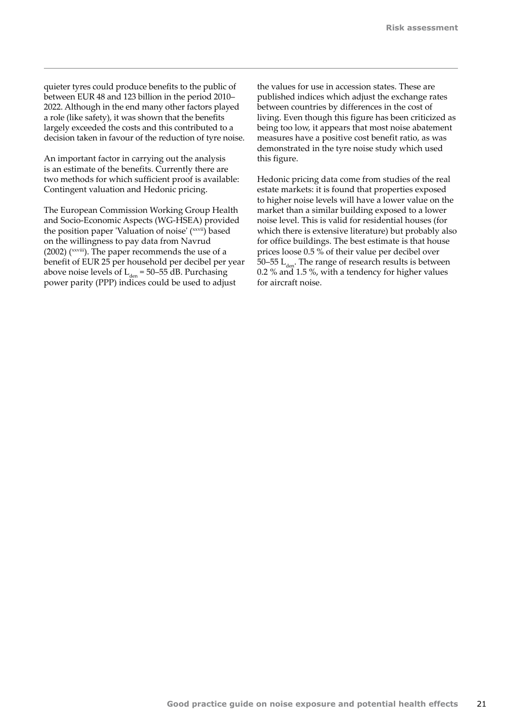quieter tyres could produce benefits to the public of between EUR 48 and 123 billion in the period 2010– 2022. Although in the end many other factors played a role (like safety), it was shown that the benefits largely exceeded the costs and this contributed to a decision taken in favour of the reduction of tyre noise.

An important factor in carrying out the analysis is an estimate of the benefits. Currently there are two methods for which sufficient proof is available: Contingent valuation and Hedonic pricing.

The European Commission Working Group Health and Socio-Economic Aspects (WG-HSEA) provided the position paper 'Valuation of noise' (xxvii) based on the willingness to pay data from Navrud (2002) (xxviii). The paper recommends the use of a benefit of EUR 25 per household per decibel per year above noise levels of  $L_{den} = 50-55$  dB. Purchasing power parity (PPP) indices could be used to adjust

the values for use in accession states. These are published indices which adjust the exchange rates between countries by differences in the cost of living. Even though this figure has been criticized as being too low, it appears that most noise abatement measures have a positive cost benefit ratio, as was demonstrated in the tyre noise study which used this figure.

Hedonic pricing data come from studies of the real estate markets: it is found that properties exposed to higher noise levels will have a lower value on the market than a similar building exposed to a lower noise level. This is valid for residential houses (for which there is extensive literature) but probably also for office buildings. The best estimate is that house prices loose 0.5 % of their value per decibel over 50–55  $L_{\text{don}}$ . The range of research results is between 0.2 % and 1.5 %, with a tendency for higher values for aircraft noise.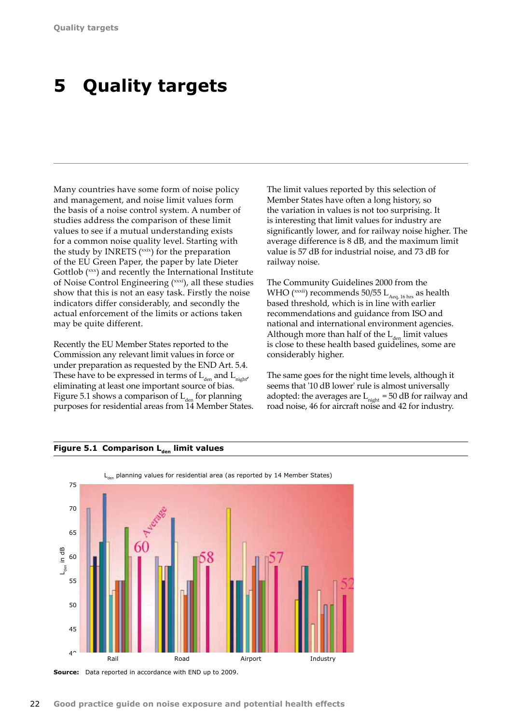# <span id="page-23-0"></span>**5 Quality targets**

Many countries have some form of noise policy and management, and noise limit values form the basis of a noise control system. A number of studies address the comparison of these limit values to see if a mutual understanding exists for a common noise quality level. Starting with the study by INRETS (xxix) for the preparation of the EU Green Paper, the paper by late Dieter Gottlob (xxx) and recently the International Institute of Noise Control Engineering (xxxi), all these studies show that this is not an easy task. Firstly the noise indicators differ considerably, and secondly the actual enforcement of the limits or actions taken may be quite different.

Recently the EU Member States reported to the Commission any relevant limit values in force or under preparation as requested by the END Art. 5.4. These have to be expressed in terms of  $L_{den}$  and  $L_{night}$ eliminating at least one important source of bias. Figure 5.1 shows a comparison of  $L_{den}$  for planning purposes for residential areas from 14 Member States. The limit values reported by this selection of Member States have often a long history, so the variation in values is not too surprising. It is interesting that limit values for industry are significantly lower, and for railway noise higher. The average difference is 8 dB, and the maximum limit value is 57 dB for industrial noise, and 73 dB for railway noise.

The Community Guidelines 2000 from the WHO ( $\chi$ xxii) recommends 50/55 L<sub>Aeq, 16</sub> hrs as health based threshold, which is in line with earlier recommendations and guidance from ISO and national and international environment agencies. Although more than half of the  $L_{den}$  limit values is close to these health based guidelines, some are considerably higher.

The same goes for the night time levels, although it seems that '10 dB lower' rule is almost universally adopted: the averages are  $L_{night} = 50$  dB for railway and road noise, 46 for aircraft noise and 42 for industry.

## **Figure 5.1 Comparison L<sub>den</sub> limit values**



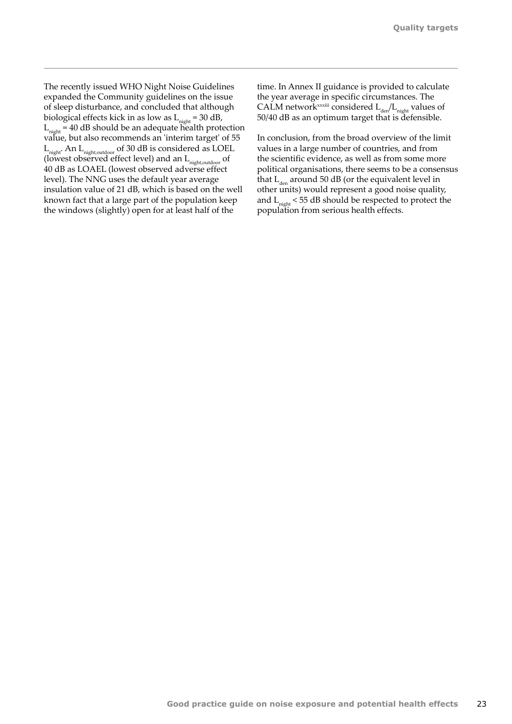The recently issued WHO Night Noise Guidelines expanded the Community guidelines on the issue of sleep disturbance, and concluded that although biological effects kick in as low as  $L_{night} = 30$  dB,  $L_{night} = 40$  dB should be an adequate health protection value, but also recommends an 'interim target' of 55 Lnight. An Lnight,outdoor of 30 dB is considered as LOEL (lowest observed effect level) and an  $L_{\text{night,outdoor}}$  of 40 dB as LOAEL (lowest observed adverse effect level). The NNG uses the default year average insulation value of 21 dB, which is based on the well known fact that a large part of the population keep the windows (slightly) open for at least half of the

time. In Annex II guidance is provided to calculate the year average in specific circumstances. The CALM network<sup>xxxiii</sup> considered  $L_{den}/L_{night}$  values of 50/40 dB as an optimum target that is defensible.

In conclusion, from the broad overview of the limit values in a large number of countries, and from the scientific evidence, as well as from some more political organisations, there seems to be a consensus that  $L_{den}$  around 50 dB (or the equivalent level in other units) would represent a good noise quality, and  $L_{\text{night}}$  < 55 dB should be respected to protect the population from serious health effects.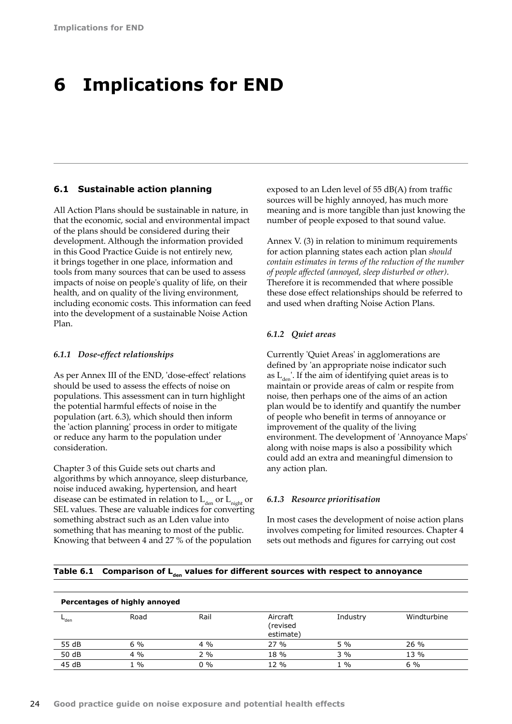## <span id="page-25-0"></span>**6 Implications for END**

### **6.1 Sustainable action planning**

All Action Plans should be sustainable in nature, in that the economic, social and environmental impact of the plans should be considered during their development. Although the information provided in this Good Practice Guide is not entirely new, it brings together in one place, information and tools from many sources that can be used to assess impacts of noise on people's quality of life, on their health, and on quality of the living environment, including economic costs. This information can feed into the development of a sustainable Noise Action Plan.

#### *6.1.1 Dose-effect relationships*

As per Annex III of the END, 'dose-effect' relations should be used to assess the effects of noise on populations. This assessment can in turn highlight the potential harmful effects of noise in the population (art. 6.3), which should then inform the 'action planning' process in order to mitigate or reduce any harm to the population under consideration.

Chapter 3 of this Guide sets out charts and algorithms by which annoyance, sleep disturbance, noise induced awaking, hypertension, and heart disease can be estimated in relation to  $L_{\text{den}}$  or  $L_{\text{night}}$  or SEL values. These are valuable indices for converting something abstract such as an Lden value into something that has meaning to most of the public. Knowing that between 4 and 27 % of the population

exposed to an Lden level of 55 dB(A) from traffic sources will be highly annoyed, has much more meaning and is more tangible than just knowing the number of people exposed to that sound value.

Annex V. (3) in relation to minimum requirements for action planning states each action plan *should contain estimates in terms of the reduction of the number of people affected (annoyed, sleep disturbed or other)*. Therefore it is recommended that where possible these dose effect relationships should be referred to and used when drafting Noise Action Plans.

#### *6.1.2 Quiet areas*

Currently 'Quiet Areas' in agglomerations are defined by 'an appropriate noise indicator such as  $L_{den}$ . If the aim of identifying quiet areas is to maintain or provide areas of calm or respite from noise, then perhaps one of the aims of an action plan would be to identify and quantify the number of people who benefit in terms of annoyance or improvement of the quality of the living environment. The development of 'Annoyance Maps' along with noise maps is also a possibility which could add an extra and meaningful dimension to any action plan.

### *6.1.3 Resource prioritisation*

In most cases the development of noise action plans involves competing for limited resources. Chapter 4 sets out methods and figures for carrying out cost

|  | Table 6.1 Comparison of L <sub>den</sub> values for different sources with respect to annoyance |  |  |  |  |  |
|--|-------------------------------------------------------------------------------------------------|--|--|--|--|--|
|--|-------------------------------------------------------------------------------------------------|--|--|--|--|--|

| Percentages of highly annoyed |       |       |                                   |          |             |
|-------------------------------|-------|-------|-----------------------------------|----------|-------------|
| $-$ den                       | Road  | Rail  | Aircraft<br>(revised<br>estimate) | Industry | Windturbine |
| 55 dB                         | $6\%$ | $4\%$ | 27%                               | 5%       | 26 %        |
| 50 dB                         | $4\%$ | 2%    | 18 %                              | 3%       | 13 %        |
| 45 dB                         | $1\%$ | $0\%$ | 12 %                              | $1\%$    | $6\%$       |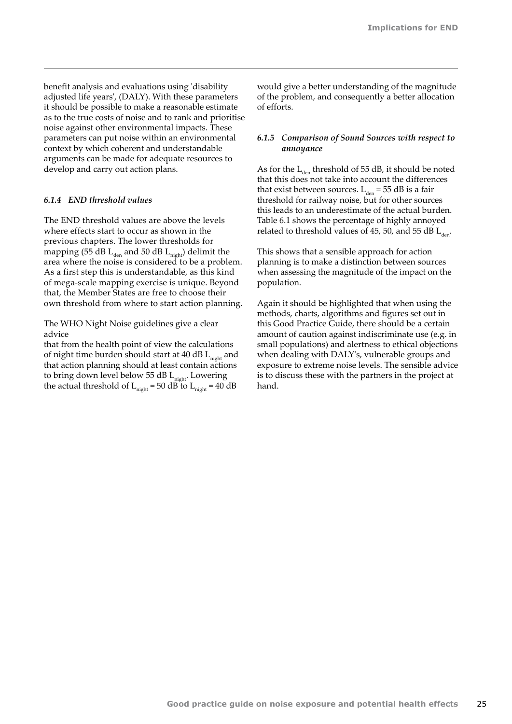benefit analysis and evaluations using 'disability adjusted life years', (DALY). With these parameters it should be possible to make a reasonable estimate as to the true costs of noise and to rank and prioritise noise against other environmental impacts. These parameters can put noise within an environmental context by which coherent and understandable arguments can be made for adequate resources to develop and carry out action plans.

#### *6.1.4 END threshold values*

The END threshold values are above the levels where effects start to occur as shown in the previous chapters. The lower thresholds for mapping (55 dB  $L_{den}$  and 50 dB  $L_{night}$ ) delimit the area where the noise is considered to be a problem. As a first step this is understandable, as this kind of mega-scale mapping exercise is unique. Beyond that, the Member States are free to choose their own threshold from where to start action planning.

The WHO Night Noise guidelines give a clear advice

that from the health point of view the calculations of night time burden should start at  $40$  dB  $L_{nicht}$  and that action planning should at least contain actions to bring down level below 55 dB L<sub>night</sub>. Lowering the actual threshold of  $L_{night} = 50$  dB to  $L_{night} = 40$  dB

would give a better understanding of the magnitude of the problem, and consequently a better allocation of efforts.

## *6.1.5 Comparison of Sound Sources with respect to annoyance*

As for the  $L_{den}$  threshold of 55 dB, it should be noted that this does not take into account the differences that exist between sources.  $L_{den} = 55 dB$  is a fair threshold for railway noise, but for other sources this leads to an underestimate of the actual burden. Table 6.1 shows the percentage of highly annoyed related to threshold values of 45, 50, and 55 dB  $L_{den}$ .

This shows that a sensible approach for action planning is to make a distinction between sources when assessing the magnitude of the impact on the population.

Again it should be highlighted that when using the methods, charts, algorithms and figures set out in this Good Practice Guide, there should be a certain amount of caution against indiscriminate use (e.g. in small populations) and alertness to ethical objections when dealing with DALY's, vulnerable groups and exposure to extreme noise levels. The sensible advice is to discuss these with the partners in the project at hand.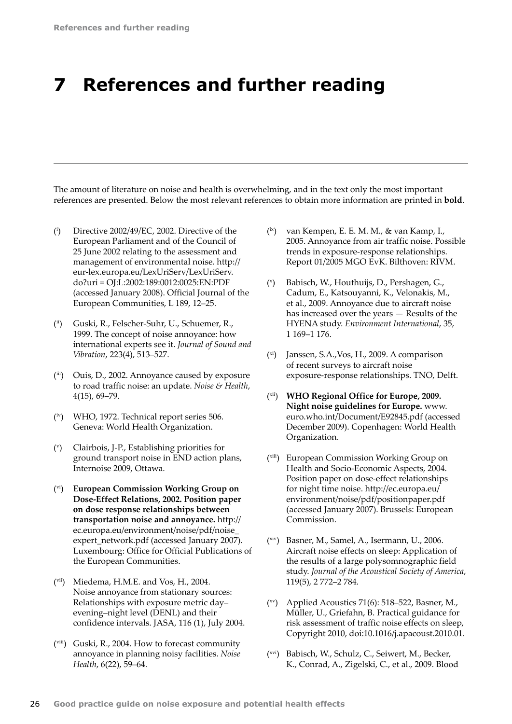## <span id="page-27-0"></span>**7 References and further reading**

The amount of literature on noise and health is overwhelming, and in the text only the most important references are presented. Below the most relevant references to obtain more information are printed in **bold**.

- $\binom{i}{i}$ ) Directive 2002/49/EC, 2002. Directive of the European Parliament and of the Council of 25 June 2002 relating to the assessment and management of environmental noise. [http://](http://eur-lex.europa.eu/LexUriServ/LexUriServ.do?uri<202F>=<202F>OJ:L:2002:189:0012:0025:EN:PDF) [eur-lex.europa.eu/LexUriServ/LexUriServ.](http://eur-lex.europa.eu/LexUriServ/LexUriServ.do?uri<202F>=<202F>OJ:L:2002:189:0012:0025:EN:PDF) do?uri = [OJ:L:2002:189:0012:0025:EN:PDF](http://eur-lex.europa.eu/LexUriServ/LexUriServ.do?uri<202F>=<202F>OJ:L:2002:189:0012:0025:EN:PDF) (accessed January 2008). Official Journal of the European Communities, L 189, 12–25.
- (ii) Guski, R., Felscher-Suhr, U., Schuemer, R., 1999. The concept of noise annoyance: how international experts see it. *Journal of Sound and Vibration*, 223(4), 513–527.
- (iii) Ouis, D., 2002. Annoyance caused by exposure to road traffic noise: an update. *Noise & Health*, 4(15), 69–79.
- (iv) WHO, 1972. Technical report series 506. Geneva: World Health Organization.
- $(\vee)$ ) Clairbois, J-P., Establishing priorities for ground transport noise in END action plans, Internoise 2009, Ottawa.
- (vi) **European Commission Working Group on Dose-Effect Relations, 2002. Position paper on dose response relationships between transportation noise and annoyance.** [http://](http://ec.europa.eu/environment/noise/pdf/noise_expert_network.pdf) [ec.europa.eu/environment/noise/pdf/noise\\_](http://ec.europa.eu/environment/noise/pdf/noise_expert_network.pdf) [expert\\_network.pdf](http://ec.europa.eu/environment/noise/pdf/noise_expert_network.pdf) (accessed January 2007). Luxembourg: Office for Official Publications of the European Communities.
- (vii) Miedema, H.M.E. and Vos, H., 2004. Noise annoyance from stationary sources: Relationships with exposure metric day– evening–night level (DENL) and their confidence intervals. JASA, 116 (1), July 2004.
- (viii) Guski, R., 2004. How to forecast community annoyance in planning noisy facilities. *Noise Health*, 6(22), 59–64.
- (ix) van Kempen, E. E. M. M., & van Kamp, I., 2005. Annoyance from air traffic noise. Possible trends in exposure-response relationships. Report 01/2005 MGO EvK. Bilthoven: RIVM.
- $(x)$ ) Babisch, W., Houthuijs, D., Pershagen, G., Cadum, E., Katsouyanni, K., Velonakis, M., et al., 2009. Annoyance due to aircraft noise has increased over the years — Results of the HYENA study. *Environment International*, 35, 1 169–1 176.
- (xi) Janssen, S.A.,Vos, H., 2009. A comparison of recent surveys to aircraft noise exposure‑response relationships. TNO, Delft.
- (xii) **WHO Regional Office for Europe, 2009. Night noise guidelines for Europe.** [www.](http://www.euro.who.int/Document/E92845.pdf) [euro.who.int/Document/E92845.pdf](http://www.euro.who.int/Document/E92845.pdf) (accessed December 2009). Copenhagen: World Health Organization.
- (xiii) European Commission Working Group on Health and Socio-Economic Aspects, 2004. Position paper on dose-effect relationships for night time noise. [http://ec.europa.eu/](http://ec.europa.eu/environment/noise/pdf/positionpaper.pdf) [environment/noise/pdf/positionpaper.pdf](http://ec.europa.eu/environment/noise/pdf/positionpaper.pdf)  (accessed January 2007). Brussels: European Commission.
- (xiv) Basner, M., Samel, A., Isermann, U., 2006. Aircraft noise effects on sleep: Application of the results of a large polysomnographic field study. *Journal of the Acoustical Society of America*, 119(5), 2 772–2 784.
- $(xv)$  Applied Acoustics 71(6): 518–522, Basner, M., Müller, U., Griefahn, B. Practical guidance for risk assessment of traffic noise effects on sleep, Copyright 2010, doi:10.1016/j.apacoust.2010.01.
- (xvi) Babisch, W., Schulz, C., Seiwert, M., Becker, K., Conrad, A., Zigelski, C., et al., 2009. Blood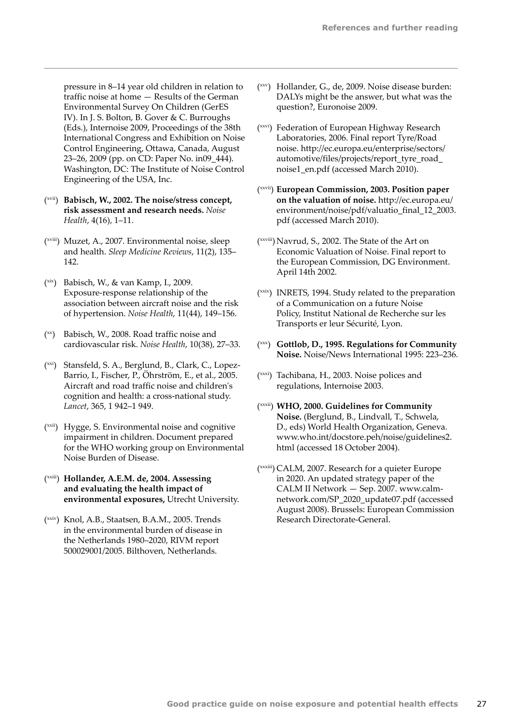pressure in 8–14 year old children in relation to traffic noise at home — Results of the German Environmental Survey On Children (GerES IV). In J. S. Bolton, B. Gover & C. Burroughs (Eds.), Internoise 2009, Proceedings of the 38th International Congress and Exhibition on Noise Control Engineering, Ottawa, Canada, August 23–26, 2009 (pp. on CD: Paper No. in09\_444). Washington, DC: The Institute of Noise Control Engineering of the USA, Inc.

- (xvii) **Babisch, W., 2002. The noise/stress concept, risk assessment and research needs.** *Noise Health*, 4(16), 1–11.
- (xviii) Muzet, A., 2007. Environmental noise, sleep and health. *Sleep Medicine Reviews*, 11(2), 135– 142.
- (xix) Babisch, W., & van Kamp, I., 2009. Exposure‑response relationship of the association between aircraft noise and the risk of hypertension. *Noise Health*, 11(44), 149–156.
- $(x)$  Babisch, W., 2008. Road traffic noise and cardiovascular risk. *Noise Health*, 10(38), 27–33.
- (xxi) Stansfeld, S. A., Berglund, B., Clark, C., Lopez-Barrio, I., Fischer, P., Öhrström, E., et al., 2005. Aircraft and road traffic noise and children's cognition and health: a cross-national study. *Lancet*, 365, 1 942–1 949.
- (xxii) Hygge, S. Environmental noise and cognitive impairment in children. Document prepared for the WHO working group on Environmental Noise Burden of Disease.
- (xxiii) **Hollander, A.E.M. de, 2004. Assessing and evaluating the health impact of environmental exposures,** Utrecht University.
- (xxiv) Knol, A.B., Staatsen, B.A.M., 2005. Trends in the environmental burden of disease in the Netherlands 1980–2020, RIVM report 500029001/2005. Bilthoven, Netherlands.
- (xxv) Hollander, G., de, 2009. Noise disease burden: DALYs might be the answer, but what was the question?, Euronoise 2009.
- (xxvi) Federation of European Highway Research Laboratories, 2006. Final report Tyre/Road noise. [http://ec.europa.eu/enterprise/sectors/](http://ec.europa.eu/enterprise/sectors/automotive/files/projects/report_tyre_road_noise1_en.pdf) [automotive/files/projects/report\\_tyre\\_road\\_](http://ec.europa.eu/enterprise/sectors/automotive/files/projects/report_tyre_road_noise1_en.pdf) [noise1\\_en.pdf](http://ec.europa.eu/enterprise/sectors/automotive/files/projects/report_tyre_road_noise1_en.pdf) (accessed March 2010).
- (xxvii) **European Commission, 2003. Position paper on the valuation of noise.** [http://ec.europa.eu/](http://ec.europa.eu/environment/noise/pdf/valuatio_final_12_2003.pdf) [environment/noise/pdf/valuatio\\_final\\_12\\_2003.](http://ec.europa.eu/environment/noise/pdf/valuatio_final_12_2003.pdf) [pdf](http://ec.europa.eu/environment/noise/pdf/valuatio_final_12_2003.pdf) (accessed March 2010).
- (xxviii) Navrud, S., 2002. The State of the Art on Economic Valuation of Noise. Final report to the European Commission, DG Environment. April 14th 2002.
- (xxix) INRETS, 1994. Study related to the preparation of a Communication on a future Noise Policy, Institut National de Recherche sur les Transports er leur Sécurité, Lyon.
- (xxx) **Gottlob, D., 1995. Regulations for Community Noise.** Noise/News International 1995: 223–236.
- (xxxi) Tachibana, H., 2003. Noise polices and regulations, Internoise 2003.
- (xxxii) **WHO, 2000. Guidelines for Community Noise.** (Berglund, B., Lindvall, T., Schwela, D., eds) World Health Organization, Geneva. [www.who.int/docstore.peh/noise/guidelines2.](http://www.who.int/docstore.peh/noise/guidelines2.html) [html](http://www.who.int/docstore.peh/noise/guidelines2.html) (accessed 18 October 2004).
- (xxxiii) CALM, 2007. Research for a quieter Europe in 2020. An updated strategy paper of the CALM II Network — Sep. 2007. [www.calm](http://www.calm-network.com/SP_2020_update07.pdf)[network.com/SP\\_2020\\_update07.pdf](http://www.calm-network.com/SP_2020_update07.pdf) (accessed August 2008). Brussels: European Commission Research Directorate-General.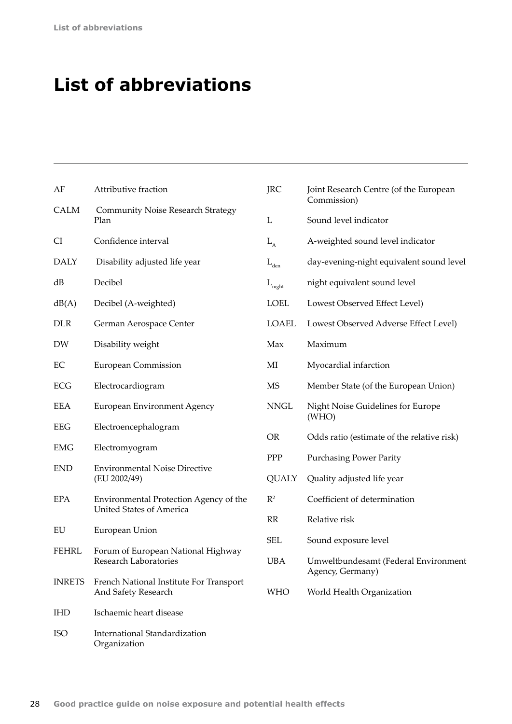# <span id="page-29-0"></span>**List of abbreviations**

| AF            | Attributive fraction                                           | <b>JRC</b>                        | Joint Research Centre (of the European                   |  |  |
|---------------|----------------------------------------------------------------|-----------------------------------|----------------------------------------------------------|--|--|
| <b>CALM</b>   | <b>Community Noise Research Strategy</b><br>Plan               | L                                 | Commission)<br>Sound level indicator                     |  |  |
| CI            | Confidence interval                                            | $L_{A}$                           | A-weighted sound level indicator                         |  |  |
| <b>DALY</b>   | Disability adjusted life year                                  | $\mathcal{L}_{\text{\tiny{den}}}$ | day-evening-night equivalent sound level                 |  |  |
| dB            | Decibel                                                        | $L_{\rm night}$                   | night equivalent sound level                             |  |  |
| dB(A)         | Decibel (A-weighted)                                           | <b>LOEL</b>                       | Lowest Observed Effect Level)                            |  |  |
| DLR           | German Aerospace Center                                        | <b>LOAEL</b>                      | Lowest Observed Adverse Effect Level)                    |  |  |
| DW            | Disability weight                                              | Max                               | Maximum                                                  |  |  |
| EС            | <b>European Commission</b>                                     | MI                                | Myocardial infarction                                    |  |  |
| <b>ECG</b>    | Electrocardiogram                                              | <b>MS</b>                         | Member State (of the European Union)                     |  |  |
| <b>EEA</b>    | European Environment Agency                                    | $\ensuremath{\mathsf{NNGL}}$      | Night Noise Guidelines for Europe<br>(WHO)               |  |  |
| <b>EEG</b>    | Electroencephalogram                                           | <b>OR</b>                         | Odds ratio (estimate of the relative risk)               |  |  |
| <b>EMG</b>    | Electromyogram                                                 | PPP                               | <b>Purchasing Power Parity</b>                           |  |  |
| <b>END</b>    | <b>Environmental Noise Directive</b><br>(EU 2002/49)           | <b>QUALY</b>                      | Quality adjusted life year                               |  |  |
| <b>EPA</b>    | Environmental Protection Agency of the                         | $R^2$                             | Coefficient of determination                             |  |  |
|               | <b>United States of America</b>                                | RR                                | Relative risk                                            |  |  |
| EU            | European Union                                                 | <b>SEL</b>                        | Sound exposure level                                     |  |  |
| <b>FEHRL</b>  | Forum of European National Highway<br>Research Laboratories    | <b>UBA</b>                        | Umweltbundesamt (Federal Environment<br>Agency, Germany) |  |  |
| <b>INRETS</b> | French National Institute For Transport<br>And Safety Research | <b>WHO</b>                        | World Health Organization                                |  |  |
| <b>IHD</b>    | Ischaemic heart disease                                        |                                   |                                                          |  |  |
| <b>ISO</b>    | International Standardization<br>Organization                  |                                   |                                                          |  |  |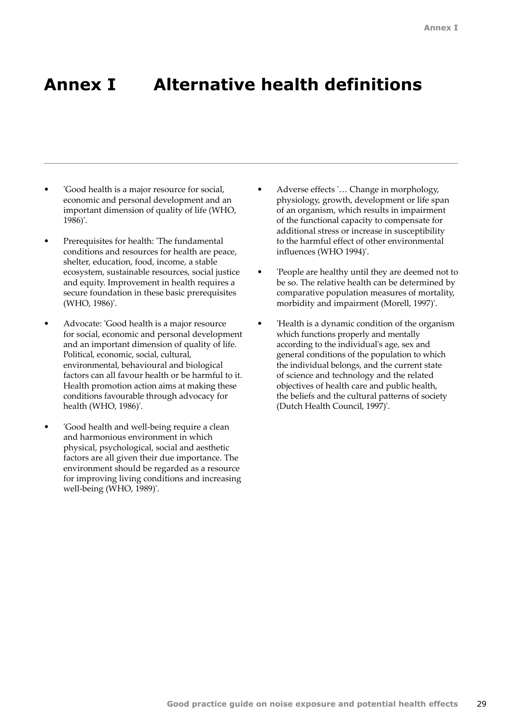## <span id="page-30-0"></span>**Annex I Alternative health definitions**

- 'Good health is a major resource for social, economic and personal development and an important dimension of quality of life (WHO, 1986)'.
- Prerequisites for health: 'The fundamental conditions and resources for health are peace, shelter, education, food, income, a stable ecosystem, sustainable resources, social justice and equity. Improvement in health requires a secure foundation in these basic prerequisites (WHO, 1986)'.
- Advocate: 'Good health is a major resource for social, economic and personal development and an important dimension of quality of life. Political, economic, social, cultural, environmental, behavioural and biological factors can all favour health or be harmful to it. Health promotion action aims at making these conditions favourable through advocacy for health (WHO, 1986)'.
- 'Good health and well-being require a clean and harmonious environment in which physical, psychological, social and aesthetic factors are all given their due importance. The environment should be regarded as a resource for improving living conditions and increasing well-being (WHO, 1989)'.
- Adverse effects '… Change in morphology, physiology, growth, development or life span of an organism, which results in impairment of the functional capacity to compensate for additional stress or increase in susceptibility to the harmful effect of other environmental influences (WHO 1994)'.
- 'People are healthy until they are deemed not to be so. The relative health can be determined by comparative population measures of mortality, morbidity and impairment (Morell, 1997)'.
- 'Health is a dynamic condition of the organism which functions properly and mentally according to the individual's age, sex and general conditions of the population to which the individual belongs, and the current state of science and technology and the related objectives of health care and public health, the beliefs and the cultural patterns of society (Dutch Health Council, 1997)'.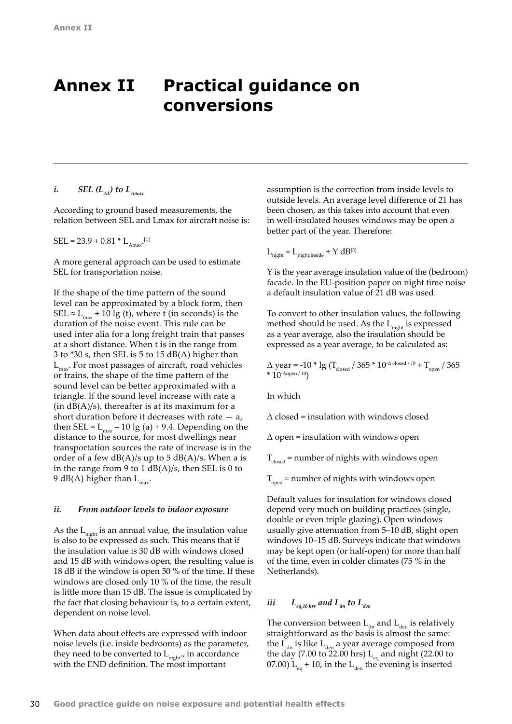## <span id="page-31-0"></span>**Annex II Practical guidance on conversions**

## *i. SEL*  $(L_{AF})$  to  $L_{A max}$

According to ground based measurements, the relation between SEL and Lmax for aircraft noise is:

 $SEL = 23.9 + 0.81 * L_{Amax}$ .[1]

A more general approach can be used to estimate SEL for transportation noise.

If the shape of the time pattern of the sound level can be approximated by a block form, then SEL ≈  $L_{max}$  + 10 lg (t), where t (in seconds) is the duration of the noise event. This rule can be used inter alia for a long freight train that passes at a short distance. When t is in the range from 3 to \*30 s, then SEL is 5 to 15 dB(A) higher than  $L_{\text{max}}$ . For most passages of aircraft, road vehicles or trains, the shape of the time pattern of the sound level can be better approximated with a triangle. If the sound level increase with rate a  $(in dB(A)/s)$ , thereafter is at its maximum for a short duration before it decreases with rate  $-$  a, then SEL  $\approx$  L<sub>max</sub> – 10 lg (a) + 9.4. Depending on the distance to the source, for most dwellings near transportation sources the rate of increase is in the order of a few  $dB(A)/s$  up to 5  $dB(A)/s$ . When a is in the range from 9 to 1  $dB(A)/s$ , then SEL is 0 to 9 dB(A) higher than  $L_{\text{max}}$ .

## *ii. From outdoor levels to indoor exposure*

As the  $L_{\text{night}}$  is an annual value, the insulation value is also to be expressed as such. This means that if the insulation value is 30 dB with windows closed and 15 dB with windows open, the resulting value is 18 dB if the window is open 50 % of the time. If these windows are closed only 10 % of the time, the result is little more than 15 dB. The issue is complicated by the fact that closing behaviour is, to a certain extent, dependent on noise level.

When data about effects are expressed with indoor noise levels (i.e. inside bedrooms) as the parameter, they need to be converted to  $L_{\text{nicht}}$ , in accordance with the END definition. The most important

assumption is the correction from inside levels to outside levels. An average level difference of 21 has been chosen, as this takes into account that even in well-insulated houses windows may be open a better part of the year. Therefore:

 $L_{\text{night}} = L_{\text{night, inside}} + Y dB^{[3]}$ 

Y is the year average insulation value of the (bedroom) facade. In the EU-position paper on night time noise a default insulation value of 21 dB was used.

To convert to other insulation values, the following method should be used. As the  $L_{\text{night}}$  is expressed as a year average, also the insulation should be expressed as a year average, to be calculated as:

 $\Delta$  year = -10  $*$  lg (T<sub>closed</sub> / 365  $*$  10<sup>- $\Delta$  closed / 10 + T<sub>open</sub> / 365</sup>  $*$  10- $\Delta$ open / 10)

In which

 $\Delta$  closed = insulation with windows closed

 $\Delta$  open = insulation with windows open

 $T_{closed}$  = number of nights with windows open

T open = number of nights with windows open

Default values for insulation for windows closed depend very much on building practices (single, double or even triple glazing). Open windows usually give attenuation from 5–10 dB, slight open windows 10–15 dB. Surveys indicate that windows may be kept open (or half-open) for more than half of the time, even in colder climates (75 % in the Netherlands).

## *iii*  $L_{eq,16\,hrs}$  and  $L_{dn}$  to  $L_{den}$

The conversion between  $L_{dn}$  and  $L_{den}$  is relatively straightforward as the basis is almost the same: the  $L_{dn}$  is like  $L_{den}$  a year average composed from the day (7.00 to 22.00 hrs)  $L_{eq}$  and night (22.00 to 07.00)  $L_{eq}$  + 10, in the  $L_{den}$  the evening is inserted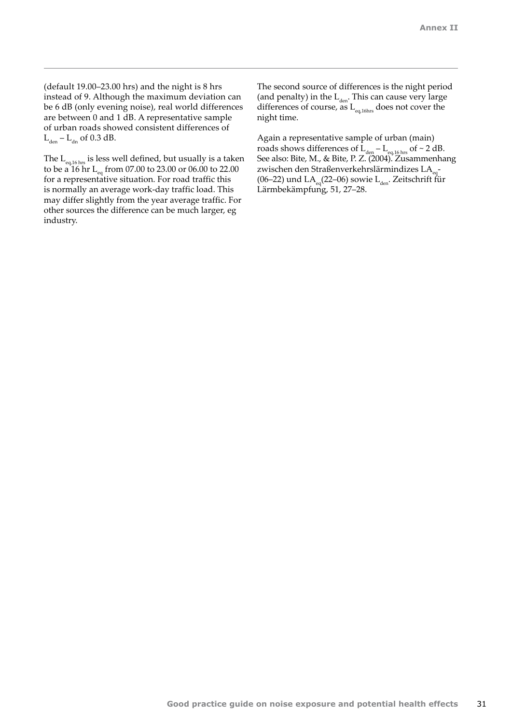(default 19.00–23.00 hrs) and the night is 8 hrs instead of 9. Although the maximum deviation can be 6 dB (only evening noise), real world differences are between 0 and 1 dB. A representative sample of urban roads showed consistent differences of  $L_{den} - L_{dn}$  of 0.3 dB.

The  $L_{eq,16 \text{ hrs}}$  is less well defined, but usually is a taken to be a 16 hr L<sub>eq</sub> from 07.00 to 23.00 or 06.00 to 22.00 for a representative situation. For road traffic this is normally an average work-day traffic load. This may differ slightly from the year average traffic. For other sources the difference can be much larger, eg industry.

The second source of differences is the night period (and penalty) in the  $L_{den}$ . This can cause very large differences of course, as  $\mathcal{L}_{\text{eq,16hs}}$  does not cover the night time.

Again a representative sample of urban (main) roads shows differences of  $L_{den} - L_{eq,16 \text{ hrs}}$  of ~ 2 dB. See also: Bite, M., & Bite, P. Z. (2004). Zusammenhang zwischen den Straßenverkehrslärmindizes LA<sub>eq</sub> (06–22) und  $LA_{eq}(22-06)$  sowie  $L_{den}$ . Zeitschrift für Lärmbekämpfung, 51, 27–28.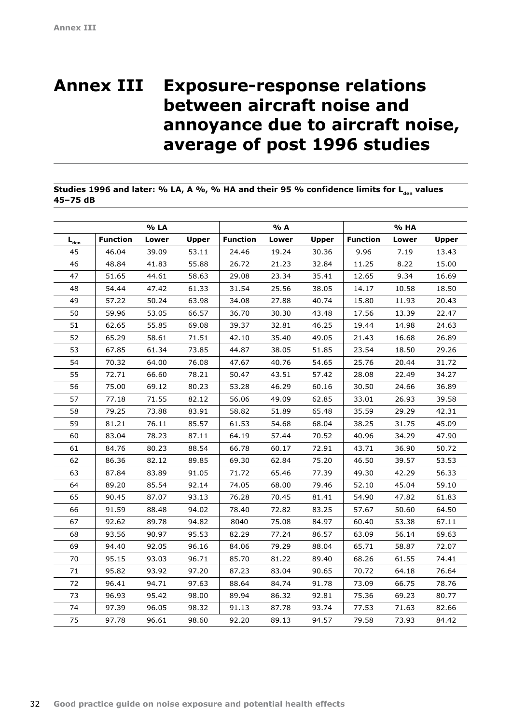## <span id="page-33-0"></span>**Annex III Exposure-response relations between aircraft noise and annoyance due to aircraft noise, average of post 1996 studies**

## **Studies 1996 and later: % LA, A %, % HA and their 95 % confidence limits for L<sub>den</sub> values 45–75 dB**

|                                         |                 | % LA  |              |                 | % A   |              |                 | % HA  |              |
|-----------------------------------------|-----------------|-------|--------------|-----------------|-------|--------------|-----------------|-------|--------------|
| $\mathbf{L}_{\underline{\mathbf{den}}}$ | <b>Function</b> | Lower | <b>Upper</b> | <b>Function</b> | Lower | <b>Upper</b> | <b>Function</b> | Lower | <b>Upper</b> |
| 45                                      | 46.04           | 39.09 | 53.11        | 24.46           | 19.24 | 30.36        | 9.96            | 7.19  | 13.43        |
| 46                                      | 48.84           | 41.83 | 55.88        | 26.72           | 21.23 | 32.84        | 11.25           | 8.22  | 15.00        |
| 47                                      | 51.65           | 44.61 | 58.63        | 29.08           | 23.34 | 35.41        | 12.65           | 9.34  | 16.69        |
| 48                                      | 54.44           | 47.42 | 61.33        | 31.54           | 25.56 | 38.05        | 14.17           | 10.58 | 18.50        |
| 49                                      | 57.22           | 50.24 | 63.98        | 34.08           | 27.88 | 40.74        | 15.80           | 11.93 | 20.43        |
| 50                                      | 59.96           | 53.05 | 66.57        | 36.70           | 30.30 | 43.48        | 17.56           | 13.39 | 22.47        |
| 51                                      | 62.65           | 55.85 | 69.08        | 39.37           | 32.81 | 46.25        | 19.44           | 14.98 | 24.63        |
| 52                                      | 65.29           | 58.61 | 71.51        | 42.10           | 35.40 | 49.05        | 21.43           | 16.68 | 26.89        |
| 53                                      | 67.85           | 61.34 | 73.85        | 44.87           | 38.05 | 51.85        | 23.54           | 18.50 | 29.26        |
| 54                                      | 70.32           | 64.00 | 76.08        | 47.67           | 40.76 | 54.65        | 25.76           | 20.44 | 31.72        |
| 55                                      | 72.71           | 66.60 | 78.21        | 50.47           | 43.51 | 57.42        | 28.08           | 22.49 | 34.27        |
| 56                                      | 75.00           | 69.12 | 80.23        | 53.28           | 46.29 | 60.16        | 30.50           | 24.66 | 36.89        |
| 57                                      | 77.18           | 71.55 | 82.12        | 56.06           | 49.09 | 62.85        | 33.01           | 26.93 | 39.58        |
| 58                                      | 79.25           | 73.88 | 83.91        | 58.82           | 51.89 | 65.48        | 35.59           | 29.29 | 42.31        |
| 59                                      | 81.21           | 76.11 | 85.57        | 61.53           | 54.68 | 68.04        | 38.25           | 31.75 | 45.09        |
| 60                                      | 83.04           | 78.23 | 87.11        | 64.19           | 57.44 | 70.52        | 40.96           | 34.29 | 47.90        |
| 61                                      | 84.76           | 80.23 | 88.54        | 66.78           | 60.17 | 72.91        | 43.71           | 36.90 | 50.72        |
| 62                                      | 86.36           | 82.12 | 89.85        | 69.30           | 62.84 | 75.20        | 46.50           | 39.57 | 53.53        |
| 63                                      | 87.84           | 83.89 | 91.05        | 71.72           | 65.46 | 77.39        | 49.30           | 42.29 | 56.33        |
| 64                                      | 89.20           | 85.54 | 92.14        | 74.05           | 68.00 | 79.46        | 52.10           | 45.04 | 59.10        |
| 65                                      | 90.45           | 87.07 | 93.13        | 76.28           | 70.45 | 81.41        | 54.90           | 47.82 | 61.83        |
| 66                                      | 91.59           | 88.48 | 94.02        | 78.40           | 72.82 | 83.25        | 57.67           | 50.60 | 64.50        |
| 67                                      | 92.62           | 89.78 | 94.82        | 8040            | 75.08 | 84.97        | 60.40           | 53.38 | 67.11        |
| 68                                      | 93.56           | 90.97 | 95.53        | 82.29           | 77.24 | 86.57        | 63.09           | 56.14 | 69.63        |
| 69                                      | 94.40           | 92.05 | 96.16        | 84.06           | 79.29 | 88.04        | 65.71           | 58.87 | 72.07        |
| 70                                      | 95.15           | 93.03 | 96.71        | 85.70           | 81.22 | 89.40        | 68.26           | 61.55 | 74.41        |
| 71                                      | 95.82           | 93.92 | 97.20        | 87.23           | 83.04 | 90.65        | 70.72           | 64.18 | 76.64        |
| 72                                      | 96.41           | 94.71 | 97.63        | 88.64           | 84.74 | 91.78        | 73.09           | 66.75 | 78.76        |
| 73                                      | 96.93           | 95.42 | 98.00        | 89.94           | 86.32 | 92.81        | 75.36           | 69.23 | 80.77        |
| 74                                      | 97.39           | 96.05 | 98.32        | 91.13           | 87.78 | 93.74        | 77.53           | 71.63 | 82.66        |
| 75                                      | 97.78           | 96.61 | 98.60        | 92.20           | 89.13 | 94.57        | 79.58           | 73.93 | 84.42        |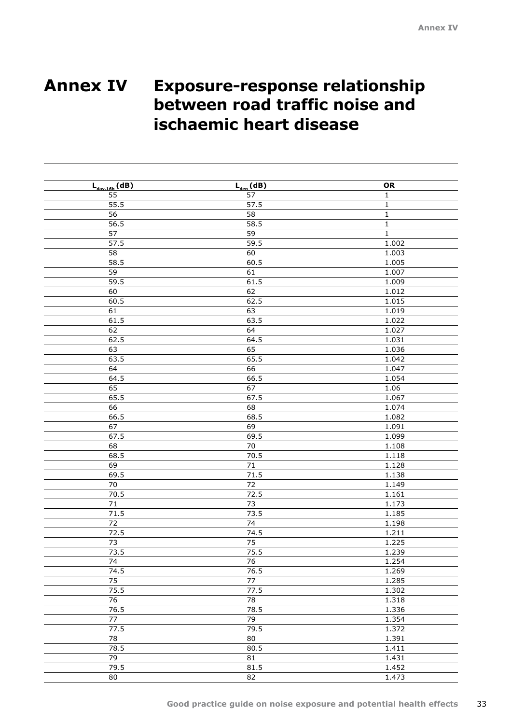## <span id="page-34-0"></span>**Annex IV Exposure-response relationship between road traffic noise and ischaemic heart disease**

| $L_{day,16h}$ (dB) | $L_{den}$ (dB)  | OR           |
|--------------------|-----------------|--------------|
| 55                 | 57              | $\mathbf{1}$ |
| 55.5               | 57.5            | $\mathbf 1$  |
| 56                 | 58              | $\mathbf 1$  |
| 56.5               | 58.5            | $\mathbf 1$  |
| $\overline{57}$    | $\overline{59}$ | $\mathbf{1}$ |
| 57.5               | 59.5            | 1.002        |
| 58                 | 60              | 1.003        |
| 58.5               | 60.5            | 1.005        |
| 59                 | 61              | 1.007        |
| 59.5               | 61.5            | 1.009        |
| 60                 | 62              | 1.012        |
| 60.5               | 62.5            | 1.015        |
| 61                 | 63              | 1.019        |
| 61.5               | 63.5            | 1.022        |
| 62                 | 64              | 1.027        |
| 62.5               | 64.5            | 1.031        |
| 63                 | 65              | 1.036        |
| 63.5               | 65.5            | 1.042        |
| 64                 | 66              | 1.047        |
| 64.5               | 66.5            | 1.054        |
| 65                 | 67              | 1.06         |
| 65.5               | 67.5            | 1.067        |
| 66                 | 68              | 1.074        |
| 66.5               | 68.5            | 1.082        |
| 67                 | 69              | 1.091        |
| 67.5               | 69.5            | 1.099        |
| 68                 | $\overline{70}$ | 1.108        |
| 68.5               | 70.5            | 1.118        |
| 69                 | $\overline{71}$ | 1.128        |
| 69.5               | 71.5            | 1.138        |
| 70                 | 72              | 1.149        |
| 70.5               | 72.5            | 1.161        |
| $71\,$             | 73              | 1.173        |
| 71.5               | 73.5            | 1.185        |
| $\overline{72}$    | 74              | 1.198        |
| 72.5               | 74.5            | 1.211        |
| 73                 | 75              | 1.225        |
| 73.5               | 75.5            | 1.239        |
| 74                 | 76              | 1.254        |
| 74.5               | 76.5            | 1.269        |
| 75                 | 77              | 1.285        |
| 75.5               | 77.5            | 1.302        |
| $\overline{76}$    | $\overline{78}$ | 1.318        |
| 76.5               | 78.5            | 1.336        |
| 77                 | 79              | 1.354        |
| 77.5               | 79.5            | 1.372        |
| 78                 | 80              | 1.391        |
| 78.5               | 80.5            | 1.411        |
| 79                 | $\overline{81}$ | 1.431        |
| 79.5               | 81.5            | 1.452        |
| 80                 | $\overline{82}$ | 1.473        |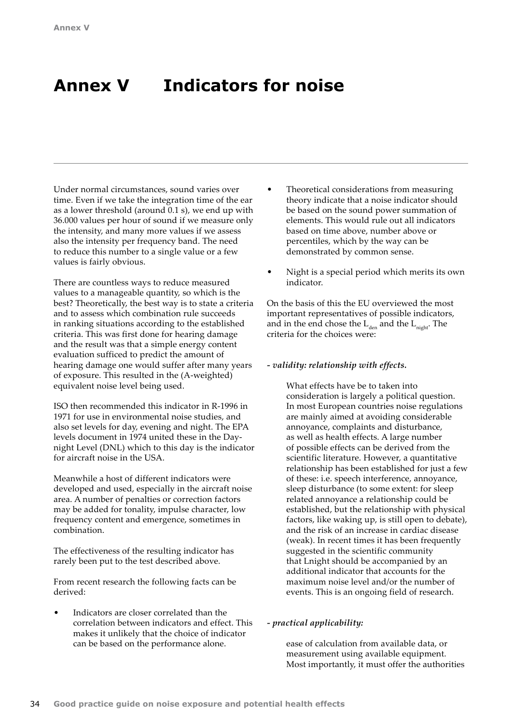# <span id="page-35-0"></span>**Annex V Indicators for noise**

Under normal circumstances, sound varies over time. Even if we take the integration time of the ear as a lower threshold (around 0.1 s), we end up with 36.000 values per hour of sound if we measure only the intensity, and many more values if we assess also the intensity per frequency band. The need to reduce this number to a single value or a few values is fairly obvious.

There are countless ways to reduce measured values to a manageable quantity, so which is the best? Theoretically, the best way is to state a criteria and to assess which combination rule succeeds in ranking situations according to the established criteria. This was first done for hearing damage and the result was that a simple energy content evaluation sufficed to predict the amount of hearing damage one would suffer after many years of exposure. This resulted in the (A-weighted) equivalent noise level being used.

ISO then recommended this indicator in R-1996 in 1971 for use in environmental noise studies, and also set levels for day, evening and night. The EPA levels document in 1974 united these in the Daynight Level (DNL) which to this day is the indicator for aircraft noise in the USA.

Meanwhile a host of different indicators were developed and used, especially in the aircraft noise area. A number of penalties or correction factors may be added for tonality, impulse character, low frequency content and emergence, sometimes in combination.

The effectiveness of the resulting indicator has rarely been put to the test described above.

From recent research the following facts can be derived:

• Indicators are closer correlated than the correlation between indicators and effect. This makes it unlikely that the choice of indicator can be based on the performance alone.

- Theoretical considerations from measuring theory indicate that a noise indicator should be based on the sound power summation of elements. This would rule out all indicators based on time above, number above or percentiles, which by the way can be demonstrated by common sense.
- Night is a special period which merits its own indicator.

On the basis of this the EU overviewed the most important representatives of possible indicators, and in the end chose the  $L_{den}$  and the  $L_{night}$ . The criteria for the choices were:

## *- validity: relationship with effects.*

What effects have be to taken into consideration is largely a political question. In most European countries noise regulations are mainly aimed at avoiding considerable annoyance, complaints and disturbance, as well as health effects. A large number of possible effects can be derived from the scientific literature. However, a quantitative relationship has been established for just a few of these: i.e. speech interference, annoyance, sleep disturbance (to some extent: for sleep related annoyance a relationship could be established, but the relationship with physical factors, like waking up, is still open to debate), and the risk of an increase in cardiac disease (weak). In recent times it has been frequently suggested in the scientific community that Lnight should be accompanied by an additional indicator that accounts for the maximum noise level and/or the number of events. This is an ongoing field of research.

## *- practical applicability:*

ease of calculation from available data, or measurement using available equipment. Most importantly, it must offer the authorities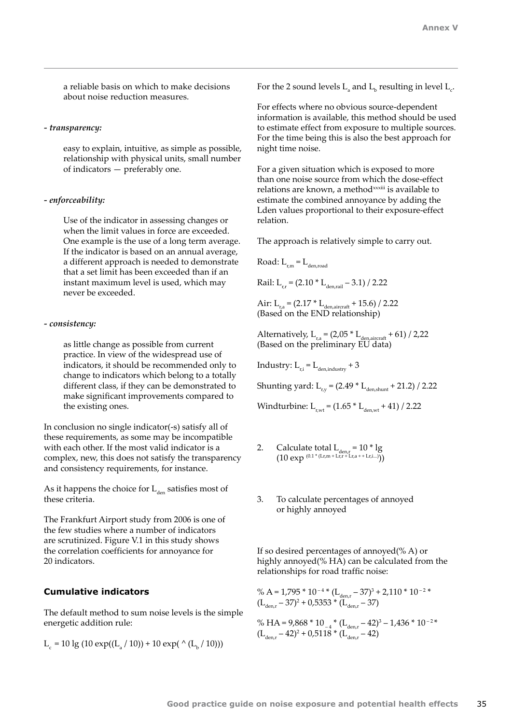a reliable basis on which to make decisions about noise reduction measures.

#### *- transparency:*

easy to explain, intuitive, as simple as possible, relationship with physical units, small number of indicators — preferably one.

#### *- enforceability:*

Use of the indicator in assessing changes or when the limit values in force are exceeded. One example is the use of a long term average. If the indicator is based on an annual average, a different approach is needed to demonstrate that a set limit has been exceeded than if an instant maximum level is used, which may never be exceeded.

### *- consistency:*

as little change as possible from current practice. In view of the widespread use of indicators, it should be recommended only to change to indicators which belong to a totally different class, if they can be demonstrated to make significant improvements compared to the existing ones.

In conclusion no single indicator(-s) satisfy all of these requirements, as some may be incompatible with each other. If the most valid indicator is a complex, new, this does not satisfy the transparency and consistency requirements, for instance.

As it happens the choice for  $L_{den}$  satisfies most of these criteria.

The Frankfurt Airport study from 2006 is one of the few studies where a number of indicators are scrutinized. Figure V.1 in this study shows the correlation coefficients for annoyance for 20 indicators.

## **Cumulative indicators**

The default method to sum noise levels is the simple energetic addition rule:

$$
L_c = 10 \lg (10 \exp((L_a / 10)) + 10 \exp((2 (L_b / 10)))
$$

For the 2 sound levels  $L_{\rm a}$  and  $L_{\rm b}$  resulting in level  $L_{\rm c}$ .

For effects where no obvious source-dependent information is available, this method should be used to estimate effect from exposure to multiple sources. For the time being this is also the best approach for night time noise.

For a given situation which is exposed to more than one noise source from which the dose-effect relations are known, a method<sup>xxxiii</sup> is available to estimate the combined annoyance by adding the Lden values proportional to their exposure-effect relation.

The approach is relatively simple to carry out.

Road:  $L_{r,m} = L_{den,road}$ 

Rail:  $L_{rr} = (2.10 * L_{\text{den,real}} - 3.1) / 2.22$ 

Air:  $L_{r,a} = (2.17 * L_{den, aircraft} + 15.6) / 2.22$ (Based on the END relationship)

Alternatively,  $L_{r,a} = (2.05 * L_{den,aircraft} + 61) / 2.22$ (Based on the preliminary EU data)

Industry:  $L_{ri} = L_{denindustrv} + 3$ 

Shunting yard:  $L_{r,y} = (2.49 * L_{den,shunt} + 21.2) / 2.22$ 

Windturbine:  $L_{r,wt} = (1.65 * L_{den,wt} + 41) / 2.22$ 

- 2. Calculate total  $L_{den,r} = 10 * lg$  $(10 \exp (0.1 * (Lr,m + Lr,r + Lr,a + Lr,i...)))$
- 3. To calculate percentages of annoyed or highly annoyed

If so desired percentages of annoyed(% A) or highly annoyed(% HA) can be calculated from the relationships for road traffic noise:

% A = 1,795  $*$  10<sup>-4</sup>  $*(L_{den,r} - 37)^3 + 2$ ,110  $*$  10<sup>-2</sup>  $*$  $(L<sub>den,r</sub> - 37)<sup>2</sup> + 0.5353 * (L<sub>den,r</sub> - 37)$ 

% HA =  $9,868 * 10^{-4}$  \*  $(L_{den,r} - 42)^3 - 1,436 * 10^{-2}$  \*  $(L<sub>den,r</sub> - 42)^{2} + 0.5118 * (L<sub>den,r</sub> - 42)$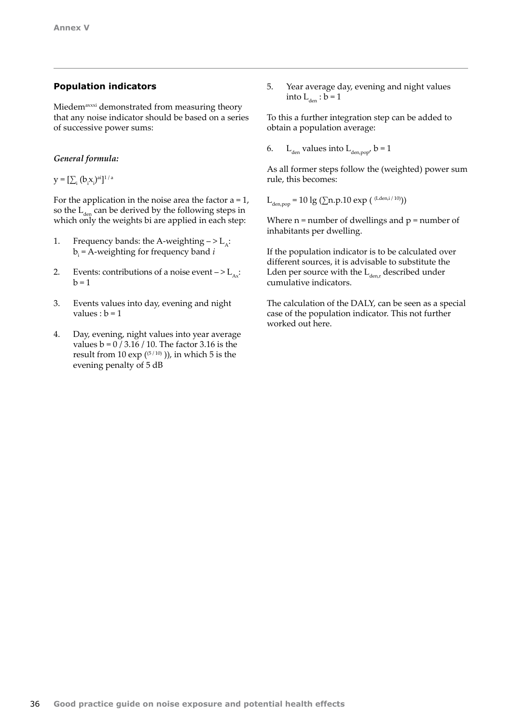## **Population indicators**

Miedem<sup>axxxi</sup> demonstrated from measuring theory that any noise indicator should be based on a series of successive power sums:

## *General formula:*

 $\mathbf{y} = [\sum_{i} (\mathbf{b}_{i} \mathbf{x}_{i})^{\text{ai}}]^{1/a}$ 

For the application in the noise area the factor  $a = 1$ , so the  $L_{den}$  can be derived by the following steps in which only the weights bi are applied in each step:

- 1. Frequency bands: the A-weighting  $-$  >  $L_{\alpha}$ :  $b_i$  = A-weighting for frequency band  $i$
- 2. Events: contributions of a noise event  $-$  >  $L_{Ax}$ :  $b = 1$
- 3. Events values into day, evening and night values :  $b = 1$
- 4. Day, evening, night values into year average values  $b = 0 / 3.16 / 10$ . The factor 3.16 is the result from 10 exp  $(5/10)$ ), in which 5 is the evening penalty of 5 dB

5. Year average day, evening and night values into  $L_{den}$  :  $b = 1$ 

To this a further integration step can be added to obtain a population average:

6. L<sub>den</sub> values into  $L_{\text{den, non}}$  b = 1

As all former steps follow the (weighted) power sum rule, this becomes:

 $L_{\textrm{den,pop}}$  = 10 lg ( $\Sigma$ n.p.10 exp ( (Lden,i/10)))

Where  $n =$  number of dwellings and  $p =$  number of inhabitants per dwelling.

If the population indicator is to be calculated over different sources, it is advisable to substitute the Lden per source with the  $L_{\text{den }r}$  described under cumulative indicators.

The calculation of the DALY, can be seen as a special case of the population indicator. This not further worked out here.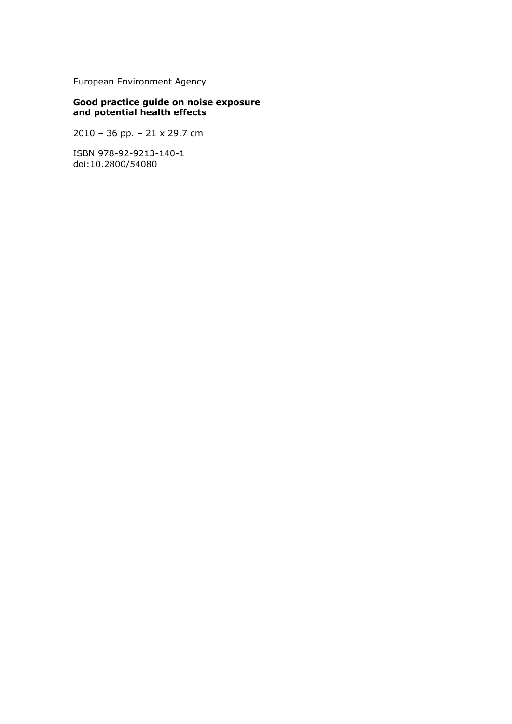European Environment Agency

## **Good practice guide on noise exposure and potential health effects**

2010 – 36 pp. – 21 x 29.7 cm

ISBN 978-92-9213-140-1 doi:10.2800/54080